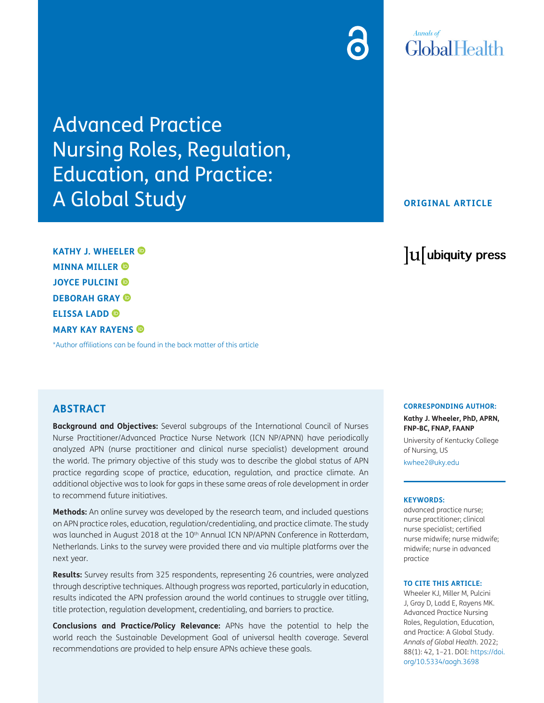## **Annals of** GlobalHealth

Advanced Practice Nursing Roles, Regulation, Education, and Practice: A Global Study

#### **ORIGINAL ARTICLE**

lu ubiquity press

**KATHY J. WHEELER MINNA MILLER JOYCE PULCINI DEBORAH GRAY ELISSA LADD MARY KAY RAYENS**

[\\*Author affiliations can be found in the back matter of this article](#page-18-0)

#### **ABSTRACT**

**Background and Objectives:** Several subgroups of the International Council of Nurses Nurse Practitioner/Advanced Practice Nurse Network (ICN NP/APNN) have periodically analyzed APN (nurse practitioner and clinical nurse specialist) development around the world. The primary objective of this study was to describe the global status of APN practice regarding scope of practice, education, regulation, and practice climate. An additional objective was to look for gaps in these same areas of role development in order to recommend future initiatives.

**Methods:** An online survey was developed by the research team, and included questions on APN practice roles, education, regulation/credentialing, and practice climate. The study was launched in August 2018 at the 10<sup>th</sup> Annual ICN NP/APNN Conference in Rotterdam, Netherlands. Links to the survey were provided there and via multiple platforms over the next year.

**Results:** Survey results from 325 respondents, representing 26 countries, were analyzed through descriptive techniques. Although progress was reported, particularly in education, results indicated the APN profession around the world continues to struggle over titling, title protection, regulation development, credentialing, and barriers to practice.

**Conclusions and Practice/Policy Relevance:** APNs have the potential to help the world reach the Sustainable Development Goal of universal health coverage. Several recommendations are provided to help ensure APNs achieve these goals.

**CORRESPONDING AUTHOR:**

**Kathy J. Wheeler, PhD, APRN, FNP-BC, FNAP, FAANP**

University of Kentucky College of Nursing, US

[kwhee2@uky.edu](mailto:kwhee2@uky.edu)

#### **KEYWORDS:**

advanced practice nurse; nurse practitioner; clinical nurse specialist; certified nurse midwife; nurse midwife; midwife; nurse in advanced practice

#### **TO CITE THIS ARTICLE:**

Wheeler KJ, Miller M, Pulcini J, Gray D, Ladd E, Rayens MK. Advanced Practice Nursing Roles, Regulation, Education, and Practice: A Global Study. *Annals of Global Health*. 2022; 88(1): 42, 1–21. DOI: [https://doi.](https://doi.org/10.5334/aogh.3698) [org/10.5334/aogh.3698](https://doi.org/10.5334/aogh.3698)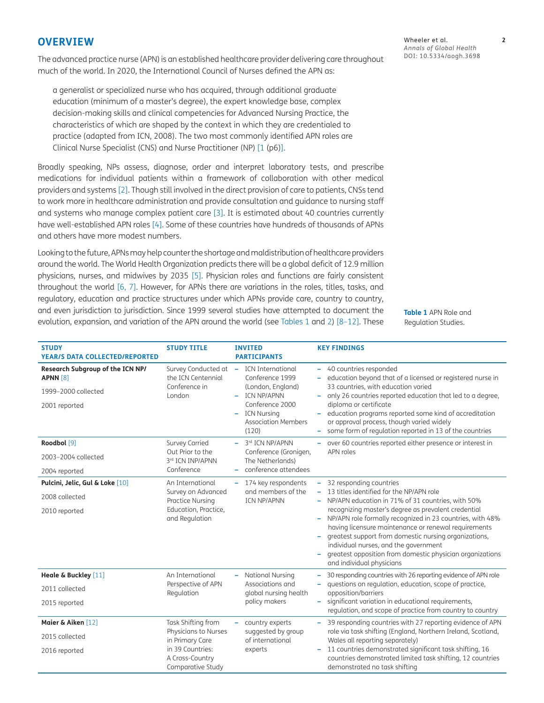#### **OVERVIEW**

The advanced practice nurse (APN) is an established healthcare provider delivering care throughout much of the world. In 2020, the International Council of Nurses defined the APN as:

a generalist or specialized nurse who has acquired, through additional graduate education (minimum of a master's degree), the expert knowledge base, complex decision-making skills and clinical competencies for Advanced Nursing Practice, the characteristics of which are shaped by the context in which they are credentialed to practice (adapted from ICN, 2008). The two most commonly identified APN roles are Clinical Nurse Specialist (CNS) and Nurse Practitioner (NP) [[1](#page-18-1) (p6)].

Broadly speaking, NPs assess, diagnose, order and interpret laboratory tests, and prescribe medications for individual patients within a framework of collaboration with other medical providers and systems [[2](#page-18-2)]. Though still involved in the direct provision of care to patients, CNSs tend to work more in healthcare administration and provide consultation and guidance to nursing staff and systems who manage complex patient care [\[3](#page-18-3)]. It is estimated about 40 countries currently have well-established APN roles [\[4](#page-18-4)]. Some of these countries have hundreds of thousands of APNs and others have more modest numbers.

Looking to the future, APNs may help counter the shortage and maldistribution of healthcare providers around the world. The World Health Organization predicts there will be a global deficit of 12.9 million physicians, nurses, and midwives by 2035 [[5\]](#page-18-5). Physician roles and functions are fairly consistent throughout the world [[6,](#page-19-0) [7](#page-19-1)]. However, for APNs there are variations in the roles, titles, tasks, and regulatory, education and practice structures under which APNs provide care, country to country, and even jurisdiction to jurisdiction. Since 1999 several studies have attempted to document the evolution, expansion, and variation of the APN around the world (see [Tables 1](#page-1-0) and [2\)](#page-2-0) [[8](#page-19-2)[–12](#page-19-3)]. These

Wheeler et al. **2** *Annals of Global Health* DOI: 10.5334/aogh.3698

<span id="page-1-0"></span>**Table 1** APN Role and Regulation Studies.

| <b>STUDY</b><br><b>YEAR/S DATA COLLECTED/REPORTED</b>                                       | <b>STUDY TITLE</b>                                                                                                        | <b>INVITED</b><br><b>PARTICIPANTS</b>                                                                                                                                | <b>KEY FINDINGS</b>                                                                                                                                                                                                                                                                                                                                                                                                                                                                                      |
|---------------------------------------------------------------------------------------------|---------------------------------------------------------------------------------------------------------------------------|----------------------------------------------------------------------------------------------------------------------------------------------------------------------|----------------------------------------------------------------------------------------------------------------------------------------------------------------------------------------------------------------------------------------------------------------------------------------------------------------------------------------------------------------------------------------------------------------------------------------------------------------------------------------------------------|
| Research Subgroup of the ICN NP/<br><b>APNN [8]</b><br>1999-2000 collected<br>2001 reported | Survey Conducted at -<br>the ICN Centennial<br>Conference in<br>London                                                    | <b>ICN International</b><br>Conference 1999<br>(London, England)<br>ICN NP/APNN<br>Conference 2000<br><b>ICN Nursing</b><br>۰<br><b>Association Members</b><br>(120) | - 40 countries responded<br>education beyond that of a licensed or registered nurse in<br>33 countries, with education varied<br>only 26 countries reported education that led to a degree,<br>diploma or certificate<br>education programs reported some kind of accreditation<br>or approval process, though varied widely<br>some form of regulation reported in 13 of the countries<br>۰                                                                                                             |
| Roodbol <sup>[9]</sup><br>2003-2004 collected                                               | Survey Carried<br>Out Prior to the<br>3rd ICN INP/APNN                                                                    | 3rd ICN NP/APNN<br>Conference (Gronigen,<br>The Netherlands)                                                                                                         | over 60 countries reported either presence or interest in<br>APN roles                                                                                                                                                                                                                                                                                                                                                                                                                                   |
| 2004 reported                                                                               | Conference                                                                                                                | conference attendees                                                                                                                                                 |                                                                                                                                                                                                                                                                                                                                                                                                                                                                                                          |
| Pulcini, Jelic, Gul & Loke [10]<br>2008 collected<br>2010 reported                          | An International<br>Survey on Advanced<br><b>Practice Nursing</b><br>Education, Practice,<br>and Regulation               | 174 key respondents<br>and members of the<br><b>ICN NP/APNN</b>                                                                                                      | - 32 responding countries<br>- 13 titles identified for the NP/APN role<br>- NP/APN education in 71% of 31 countries, with 50%<br>recognizing master's degree as prevalent credential<br>- NP/APN role formally recognized in 23 countries, with 48%<br>having licensure maintenance or renewal requirements<br>greatest support from domestic nursing organizations,<br>individual nurses, and the government<br>greatest opposition from domestic physician organizations<br>and individual physicians |
| Heale & Buckley [11]<br>2011 collected<br>2015 reported                                     | An International<br>Perspective of APN<br>Regulation                                                                      | National Nursing<br>Associations and<br>global nursing health<br>policy makers                                                                                       | 30 responding countries with 26 reporting evidence of APN role<br>questions on regulation, education, scope of practice,<br>opposition/barriers<br>significant variation in educational requirements,<br>÷<br>regulation, and scope of practice from country to country                                                                                                                                                                                                                                  |
| Maier & Aiken [12]<br>2015 collected<br>2016 reported                                       | Task Shifting from<br>Physicians to Nurses<br>in Primary Care<br>in 39 Countries:<br>A Cross-Country<br>Comparative Study | country experts<br>suggested by group<br>of international<br>experts                                                                                                 | 39 responding countries with 27 reporting evidence of APN<br>÷<br>role via task shifting (England, Northern Ireland, Scotland,<br>Wales all reporting separately)<br>11 countries demonstrated significant task shifting, 16<br>countries demonstrated limited task shifting, 12 countries<br>demonstrated no task shifting                                                                                                                                                                              |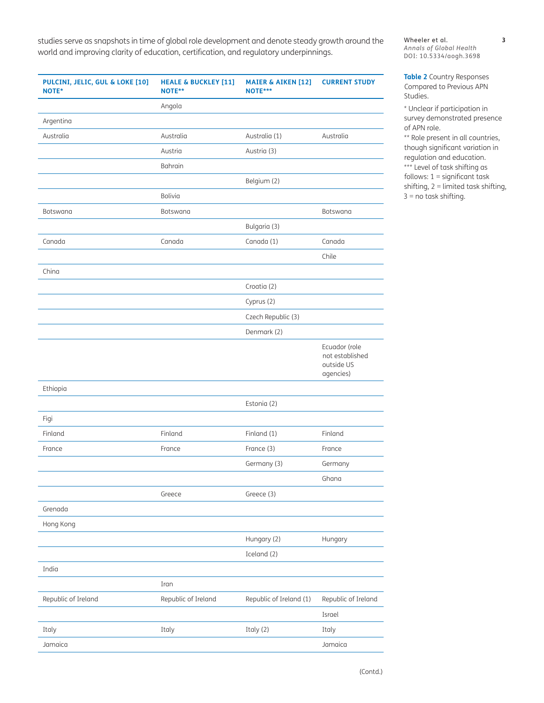studies serve as snapshots in time of global role development and denote steady growth around the world and improving clarity of education, certification, and regulatory underpinnings.

**MAIER & AIKEN [[12](#page-19-3)]**

**CURRENT STUDY**

**HEALE & BUCKLEY [\[11\]](#page-19-6)**

**PULCINI, JELIC, GUL & LOKE [\[10\]](#page-19-5)**

Wheeler et al. **3** *Annals of Global Health* DOI: 10.5334/aogh.3698

<span id="page-2-0"></span>**Table 2** Country Responses Compared to Previous APN Studies.

\* Unclear if participation in survey demonstrated presence of APN role.

\*\* Role present in all countries, though significant variation in regulation and education. \*\*\* Level of task shifting as follows:  $1 =$  significant task shifting,  $2 =$  limited task shifting, 3 = no task shifting.

| NOTE*               | NOTE**              | NOTE***                 |                                                             |
|---------------------|---------------------|-------------------------|-------------------------------------------------------------|
|                     | Angola              |                         |                                                             |
| Argentina           |                     |                         |                                                             |
| Australia           | Australia           | Australia (1)           | Australia                                                   |
|                     | Austria             | Austria (3)             |                                                             |
|                     | Bahrain             |                         |                                                             |
|                     |                     | Belgium (2)             |                                                             |
|                     | Bolivia             |                         |                                                             |
| Botswana            | Botswana            |                         | Botswana                                                    |
|                     |                     | Bulgaria (3)            |                                                             |
| Canada              | Canada              | Canada (1)              | Canada                                                      |
|                     |                     |                         | Chile                                                       |
| China               |                     |                         |                                                             |
|                     |                     | Croatia (2)             |                                                             |
|                     |                     | Cyprus (2)              |                                                             |
|                     |                     | Czech Republic (3)      |                                                             |
|                     |                     | Denmark (2)             |                                                             |
|                     |                     |                         | Ecuador (role<br>not established<br>outside US<br>agencies) |
| Ethiopia            |                     |                         |                                                             |
|                     |                     | Estonia (2)             |                                                             |
| Figi                |                     |                         |                                                             |
| Finland             | Finland             | Finland (1)             | Finland                                                     |
| France              | France              | France (3)              | France                                                      |
|                     |                     | Germany (3)             | Germany                                                     |
|                     |                     |                         | Ghana                                                       |
|                     | Greece              | Greece (3)              |                                                             |
| Grenada             |                     |                         |                                                             |
| Hong Kong           |                     |                         |                                                             |
|                     |                     | Hungary (2)             | Hungary                                                     |
|                     |                     | Iceland (2)             |                                                             |
| India               |                     |                         |                                                             |
|                     | Iran                |                         |                                                             |
| Republic of Ireland | Republic of Ireland | Republic of Ireland (1) | Republic of Ireland                                         |
|                     |                     |                         | Israel                                                      |
| Italy               | Italy               | Italy (2)               | Italy                                                       |
| Jamaica             |                     |                         | Jamaica                                                     |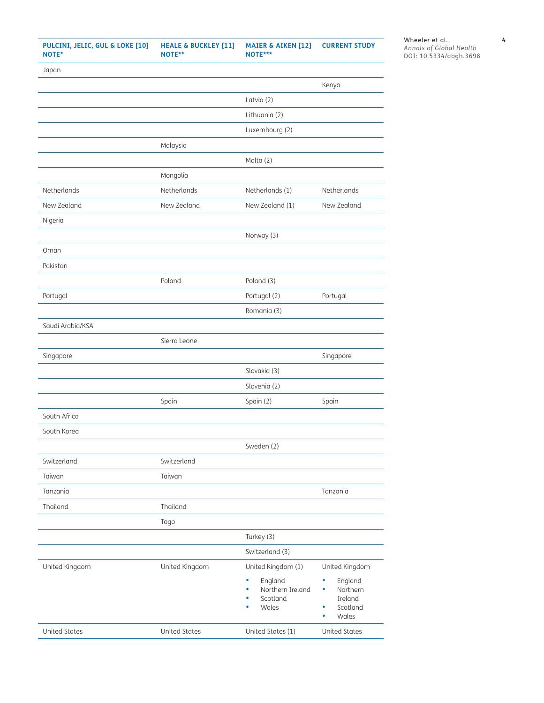| PULCINI, JELIC, GUL & LOKE [10]<br>NOTE* | <b>HEALE &amp; BUCKLEY [11]</b><br>NOTE** | <b>MAIER &amp; AIKEN [12]</b><br>NOTE*** | <b>CURRENT STUDY</b>        |
|------------------------------------------|-------------------------------------------|------------------------------------------|-----------------------------|
| Japan                                    |                                           |                                          |                             |
|                                          |                                           |                                          | Kenya                       |
|                                          |                                           | Latvia (2)                               |                             |
|                                          |                                           | Lithuania (2)                            |                             |
|                                          |                                           | Luxembourg (2)                           |                             |
|                                          | Malaysia                                  |                                          |                             |
|                                          |                                           | Malta (2)                                |                             |
|                                          | Mongolia                                  |                                          |                             |
| Netherlands                              | Netherlands                               | Netherlands (1)                          | Netherlands                 |
| New Zealand                              | New Zealand                               | New Zealand (1)                          | New Zealand                 |
| Nigeria                                  |                                           |                                          |                             |
|                                          |                                           | Norway (3)                               |                             |
| Oman                                     |                                           |                                          |                             |
| Pakistan                                 |                                           |                                          |                             |
|                                          | Poland                                    | Poland (3)                               |                             |
| Portugal                                 |                                           | Portugal (2)                             | Portugal                    |
|                                          |                                           | Romania (3)                              |                             |
| Saudi Arabia/KSA                         |                                           |                                          |                             |
|                                          | Sierra Leone                              |                                          |                             |
| Singapore                                |                                           |                                          | Singapore                   |
|                                          |                                           | Slovakia (3)                             |                             |
|                                          |                                           | Slovenia (2)                             |                             |
|                                          | Spain                                     | Spain (2)                                | Spain                       |
| South Africa                             |                                           |                                          |                             |
| South Korea                              |                                           |                                          |                             |
|                                          |                                           | Sweden (2)                               |                             |
| Switzerland                              | Switzerland                               |                                          |                             |
| Taiwan                                   | Taiwan                                    |                                          |                             |
| Tanzania                                 |                                           |                                          | Tanzania                    |
| Thailand                                 | Thailand                                  |                                          |                             |
|                                          | Togo                                      |                                          |                             |
|                                          |                                           | Turkey (3)                               |                             |
|                                          |                                           | Switzerland (3)                          |                             |
| United Kingdom                           | United Kingdom                            | United Kingdom (1)                       | United Kingdom              |
|                                          |                                           | England<br>٠                             | $\bullet$<br>England        |
|                                          |                                           | Northern Ireland<br>۰<br>Scotland<br>٠   | Northern<br>۰<br>Ireland    |
|                                          |                                           | Wales<br>٠                               | Scotland<br>۰<br>Wales<br>۰ |
| <b>United States</b>                     | <b>United States</b>                      | United States (1)                        | <b>United States</b>        |

Wheeler et al. **4** *Annals of Global Health* DOI: 10.5334/aogh.3698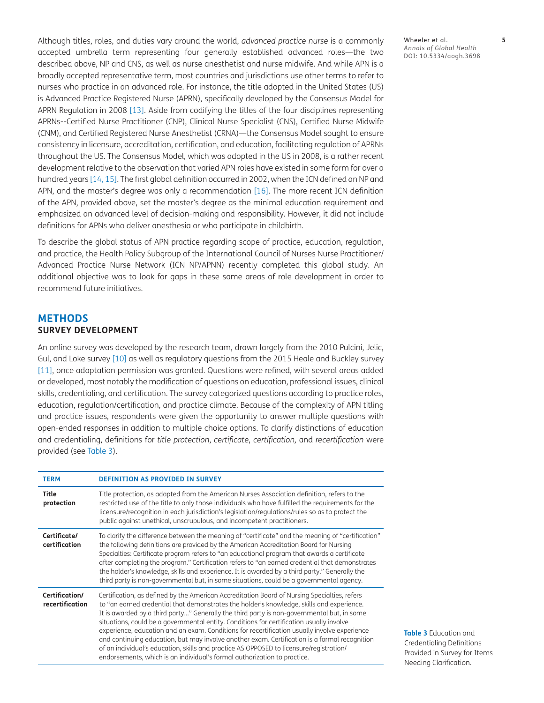Although titles, roles, and duties vary around the world, *advanced practice nurse* is a commonly accepted umbrella term representing four generally established advanced roles—the two described above, NP and CNS, as well as nurse anesthetist and nurse midwife. And while APN is a broadly accepted representative term, most countries and jurisdictions use other terms to refer to nurses who practice in an advanced role. For instance, the title adopted in the United States (US) is Advanced Practice Registered Nurse (APRN), specifically developed by the Consensus Model for APRN Regulation in 2008 [[13](#page-19-7)]. Aside from codifying the titles of the four disciplines representing APRNs--Certified Nurse Practitioner (CNP), Clinical Nurse Specialist (CNS), Certified Nurse Midwife (CNM), and Certified Registered Nurse Anesthetist (CRNA)—the Consensus Model sought to ensure consistency in licensure, accreditation, certification, and education, facilitating regulation of APRNs throughout the US. The Consensus Model, which was adopted in the US in 2008, is a rather recent development relative to the observation that varied APN roles have existed in some form for over a hundred years [\[14,](#page-19-8) [15\]](#page-19-9). The first global definition occurred in 2002, when the ICN defined an NP and APN, and the master's degree was only a recommendation [[16](#page-19-10)]. The more recent ICN definition of the APN, provided above, set the master's degree as the minimal education requirement and emphasized an advanced level of decision-making and responsibility. However, it did not include definitions for APNs who deliver anesthesia or who participate in childbirth.

To describe the global status of APN practice regarding scope of practice, education, regulation, and practice, the Health Policy Subgroup of the International Council of Nurses Nurse Practitioner/ Advanced Practice Nurse Network (ICN NP/APNN) recently completed this global study. An additional objective was to look for gaps in these same areas of role development in order to recommend future initiatives.

#### **METHODS SURVEY DEVELOPMENT**

An online survey was developed by the research team, drawn largely from the 2010 Pulcini, Jelic, Gul, and Loke survey [\[10\]](#page-19-5) as well as regulatory questions from the 2015 Heale and Buckley survey [\[11\]](#page-19-6), once adaptation permission was granted. Questions were refined, with several areas added or developed, most notably the modification of questions on education, professional issues, clinical skills, credentialing, and certification. The survey categorized questions according to practice roles, education, regulation/certification, and practice climate. Because of the complexity of APN titling and practice issues, respondents were given the opportunity to answer multiple questions with open-ended responses in addition to multiple choice options. To clarify distinctions of education and credentialing, definitions for *title protection*, *certificate*, *certification,* and *recertification* were provided (see [Table 3](#page-4-0)).

| <b>TERM</b>                       | <b>DEFINITION AS PROVIDED IN SURVEY</b>                                                                                                                                                                                                                                                                                                                                                                                                                                                                                                                                                                                                                                                                                                                     |
|-----------------------------------|-------------------------------------------------------------------------------------------------------------------------------------------------------------------------------------------------------------------------------------------------------------------------------------------------------------------------------------------------------------------------------------------------------------------------------------------------------------------------------------------------------------------------------------------------------------------------------------------------------------------------------------------------------------------------------------------------------------------------------------------------------------|
| <b>Title</b><br>protection        | Title protection, as adapted from the American Nurses Association definition, refers to the<br>restricted use of the title to only those individuals who have fulfilled the requirements for the<br>licensure/recognition in each jurisdiction's legislation/regulations/rules so as to protect the<br>public against unethical, unscrupulous, and incompetent practitioners.                                                                                                                                                                                                                                                                                                                                                                               |
| Certificate/<br>certification     | To clarify the difference between the meaning of "certificate" and the meaning of "certification"<br>the following definitions are provided by the American Accreditation Board for Nursing<br>Specialties: Certificate program refers to "an educational program that awards a certificate<br>after completing the program." Certification refers to "an earned credential that demonstrates<br>the holder's knowledge, skills and experience. It is awarded by a third party." Generally the<br>third party is non-governmental but, in some situations, could be a governmental agency.                                                                                                                                                                  |
| Certification/<br>recertification | Certification, as defined by the American Accreditation Board of Nursing Specialties, refers<br>to "an earned credential that demonstrates the holder's knowledge, skills and experience.<br>It is awarded by a third party" Generally the third party is non-governmental but, in some<br>situations, could be a governmental entity. Conditions for certification usually involve<br>experience, education and an exam. Conditions for recertification usually involve experience<br>and continuing education, but may involve another exam. Certification is a formal recognition<br>of an individual's education, skills and practice AS OPPOSED to licensure/registration/<br>endorsements, which is an individual's formal authorization to practice. |

<span id="page-4-0"></span>**Table 3** Education and Credentialing Definitions Provided in Survey for Items Needing Clarification.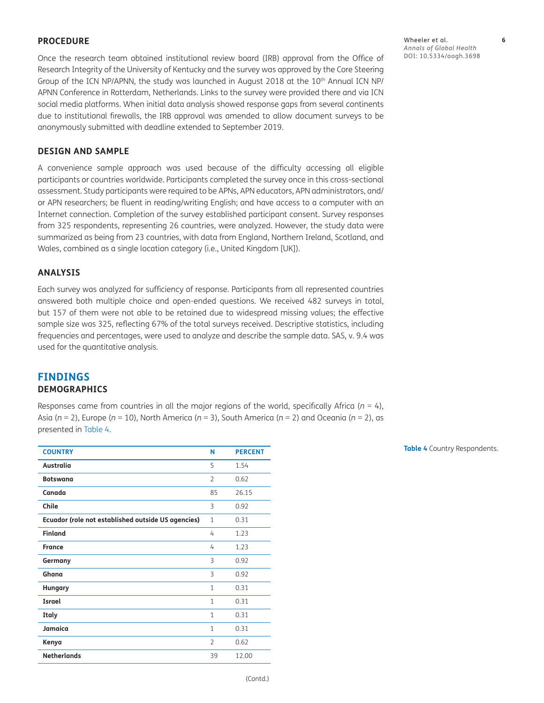#### **PROCEDURE**

Once the research team obtained institutional review board (IRB) approval from the Office of Research Integrity of the University of Kentucky and the survey was approved by the Core Steering Group of the ICN NP/APNN, the study was launched in August 2018 at the  $10<sup>th</sup>$  Annual ICN NP/ APNN Conference in Rotterdam, Netherlands. Links to the survey were provided there and via ICN social media platforms. When initial data analysis showed response gaps from several continents due to institutional firewalls, the IRB approval was amended to allow document surveys to be anonymously submitted with deadline extended to September 2019.

#### **DESIGN AND SAMPLE**

A convenience sample approach was used because of the difficulty accessing all eligible participants or countries worldwide. Participants completed the survey once in this cross-sectional assessment. Study participants were required to be APNs, APN educators, APN administrators, and/ or APN researchers; be fluent in reading/writing English; and have access to a computer with an Internet connection. Completion of the survey established participant consent. Survey responses from 325 respondents, representing 26 countries, were analyzed. However, the study data were summarized as being from 23 countries, with data from England, Northern Ireland, Scotland, and Wales, combined as a single location category (i.e., United Kingdom [UK]).

#### **ANALYSIS**

Each survey was analyzed for sufficiency of response. Participants from all represented countries answered both multiple choice and open-ended questions. We received 482 surveys in total, but 157 of them were not able to be retained due to widespread missing values; the effective sample size was 325, reflecting 67% of the total surveys received. Descriptive statistics, including frequencies and percentages, were used to analyze and describe the sample data. SAS, v. 9.4 was used for the quantitative analysis.

#### **FINDINGS DEMOGRAPHICS**

Responses came from countries in all the major regions of the world, specifically Africa ( $n = 4$ ), Asia (*n* = 2), Europe (*n* = 10), North America (*n* = 3), South America (*n* = 2) and Oceania (*n* = 2), as presented in [Table 4](#page-5-0).

| <b>COUNTRY</b>                                     | N              | <b>PERCENT</b> |
|----------------------------------------------------|----------------|----------------|
| Australia                                          | 5              | 1.54           |
| <b>Botswana</b>                                    | $\overline{2}$ | 0.62           |
| Canada                                             | 85             | 26.15          |
| Chile                                              | 3              | 0.92           |
| Ecuador (role not established outside US agencies) | 1              | 0.31           |
| <b>Finland</b>                                     | 4              | 1.23           |
| <b>France</b>                                      | 4              | 1.23           |
| Germany                                            | 3              | 0.92           |
| Ghana                                              | 3              | 0.92           |
| <b>Hungary</b>                                     | 1              | 0.31           |
| <b>Israel</b>                                      | 1              | 0.31           |
| Italy                                              | 1              | 0.31           |
| Jamaica                                            | 1              | 0.31           |
| Kenya                                              | $\overline{2}$ | 0.62           |
| <b>Netherlands</b>                                 | 39             | 12.00          |

<span id="page-5-0"></span>**Table 4** Country Respondents.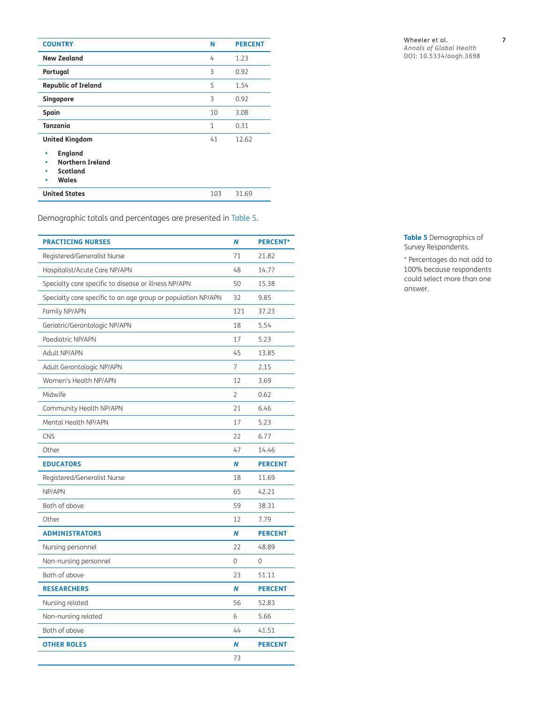| <b>COUNTRY</b>                                                                                              | Ν   | <b>PERCENT</b> |
|-------------------------------------------------------------------------------------------------------------|-----|----------------|
| <b>New Zealand</b>                                                                                          | 4   | 1.23           |
| Portugal                                                                                                    | 3   | 0.92           |
| <b>Republic of Ireland</b>                                                                                  | 5   | 1.54           |
| Singapore                                                                                                   | 3   | 0.92           |
| Spain                                                                                                       | 10  | 3.08           |
| Tanzania                                                                                                    | 1   | 0.31           |
| <b>United Kingdom</b><br><b>England</b><br>٠<br><b>Northern Ireland</b><br>۰<br>Scotland<br>۰<br>Wales<br>٠ | 41  | 12.62          |
| <b>United States</b>                                                                                        | 103 | 31.69          |

Demographic totals and percentages are presented in [Table 5.](#page-6-0)

| <b>PRACTICING NURSES</b>                                     | N              | <b>PERCENT*</b> |
|--------------------------------------------------------------|----------------|-----------------|
| Registered/Generalist Nurse                                  | 71             | 21.82           |
| Hospitalist/Acute Care NP/APN                                | 48             | 14.77           |
| Specialty care specific to disease or illness NP/APN         | 50             | 15.38           |
| Specialty care specific to an age group or population NP/APN | 32             | 9.85            |
| Family NP/APN                                                | 121            | 37.23           |
| Geriatric/Gerontologic NP/APN                                | 18             | 5.54            |
| Paediatric NP/APN                                            | 17             | 5.23            |
| <b>Adult NP/APN</b>                                          | 45             | 13.85           |
| Adult Gerontologic NP/APN                                    | $\overline{7}$ | 2.15            |
| Women's Health NP/APN                                        | 12             | 3.69            |
| Midwife                                                      | $\overline{2}$ | 0.62            |
| Community Health NP/APN                                      | 21             | 6.46            |
| Mental Health NP/APN                                         | 17             | 5.23            |
| <b>CNS</b>                                                   | 22             | 6.77            |
| Other                                                        | 47             | 14.46           |
| <b>EDUCATORS</b>                                             | N              | <b>PERCENT</b>  |
| Registered/Generalist Nurse                                  | 18             | 11.69           |
| NP/APN                                                       | 65             | 42.21           |
| Both of above                                                | 59             | 38.31           |
| Other                                                        | 12             | 7.79            |
| <b>ADMINISTRATORS</b>                                        | N              | <b>PERCENT</b>  |
| Nursing personnel                                            | 22             | 48.89           |
| Non-nursing personnel                                        | $\Omega$       | 0               |
| Both of above                                                | 23             | 51.11           |
| <b>RESEARCHERS</b>                                           | N              | <b>PERCENT</b>  |
| Nursing related                                              | 56             | 52.83           |
| Non-nursing related                                          | 6              | 5.66            |
| Both of above                                                | 44             | 41.51           |
| <b>OTHER ROLES</b>                                           | N              | <b>PERCENT</b>  |
|                                                              | 73             |                 |

*Annals of Global Health* DOI: 10.5334/aogh.3698

<span id="page-6-0"></span>**Table 5** Demographics of Survey Respondents.

\* Percentages do not add to 100% because respondents could select more than one answer.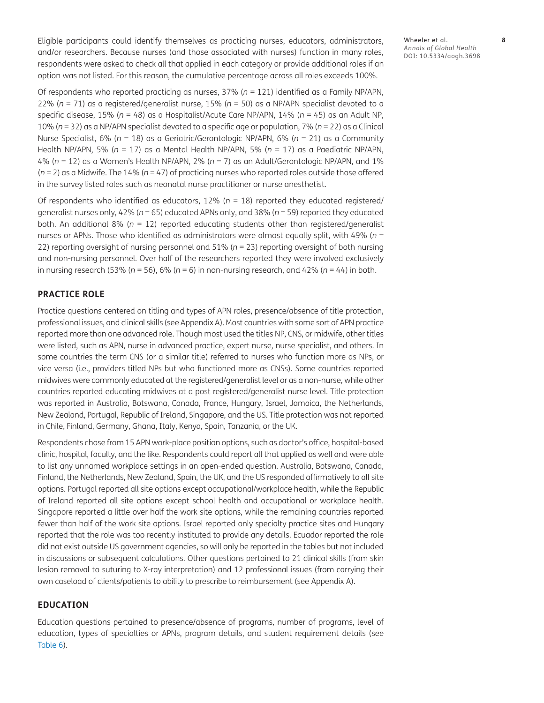Eligible participants could identify themselves as practicing nurses, educators, administrators, and/or researchers. Because nurses (and those associated with nurses) function in many roles, respondents were asked to check all that applied in each category or provide additional roles if an option was not listed. For this reason, the cumulative percentage across all roles exceeds 100%.

Of respondents who reported practicing as nurses, 37% (*n* = 121) identified as a Family NP/APN, 22% (*n* = 71) as a registered/generalist nurse, 15% (*n* = 50) as a NP/APN specialist devoted to a specific disease, 15% (*n* = 48) as a Hospitalist/Acute Care NP/APN, 14% (*n* = 45) as an Adult NP, 10% (*n* = 32) as a NP/APN specialist devoted to a specific age or population, 7% (*n* = 22) as a Clinical Nurse Specialist, 6% (*n* = 18) as a Geriatric/Gerontologic NP/APN, 6% (*n* = 21) as a Community Health NP/APN, 5% (*n* = 17) as a Mental Health NP/APN, 5% (*n* = 17) as a Paediatric NP/APN, 4% (*n* = 12) as a Women's Health NP/APN, 2% (*n* = 7) as an Adult/Gerontologic NP/APN, and 1% (*n* = 2) as a Midwife. The 14% (*n* = 47) of practicing nurses who reported roles outside those offered in the survey listed roles such as neonatal nurse practitioner or nurse anesthetist.

Of respondents who identified as educators, 12% (*n* = 18) reported they educated registered/ generalist nurses only, 42% (*n* = 65) educated APNs only, and 38% (*n* = 59) reported they educated both. An additional 8% (*n* = 12) reported educating students other than registered/generalist nurses or APNs. Those who identified as administrators were almost equally split, with 49% (*n* = 22) reporting oversight of nursing personnel and 51% (*n* = 23) reporting oversight of both nursing and non-nursing personnel. Over half of the researchers reported they were involved exclusively in nursing research (53% (*n* = 56), 6% (*n* = 6) in non-nursing research, and 42% (*n* = 44) in both.

#### **PRACTICE ROLE**

Practice questions centered on titling and types of APN roles, presence/absence of title protection, professional issues, and clinical skills (see Appendix A). Most countries with some sort of APN practice reported more than one advanced role. Though most used the titles NP, CNS, or midwife, other titles were listed, such as APN, nurse in advanced practice, expert nurse, nurse specialist, and others. In some countries the term CNS (or a similar title) referred to nurses who function more as NPs, or vice versa (i.e., providers titled NPs but who functioned more as CNSs). Some countries reported midwives were commonly educated at the registered/generalist level or as a non-nurse, while other countries reported educating midwives at a post registered/generalist nurse level. Title protection was reported in Australia, Botswana, Canada, France, Hungary, Israel, Jamaica, the Netherlands, New Zealand, Portugal, Republic of Ireland, Singapore, and the US. Title protection was not reported in Chile, Finland, Germany, Ghana, Italy, Kenya, Spain, Tanzania, or the UK.

Respondents chose from 15 APN work-place position options, such as doctor's office, hospital-based clinic, hospital, faculty, and the like. Respondents could report all that applied as well and were able to list any unnamed workplace settings in an open-ended question. Australia, Botswana, Canada, Finland, the Netherlands, New Zealand, Spain, the UK, and the US responded affirmatively to all site options. Portugal reported all site options except occupational/workplace health, while the Republic of Ireland reported all site options except school health and occupational or workplace health. Singapore reported a little over half the work site options, while the remaining countries reported fewer than half of the work site options. Israel reported only specialty practice sites and Hungary reported that the role was too recently instituted to provide any details. Ecuador reported the role did not exist outside US government agencies, so will only be reported in the tables but not included in discussions or subsequent calculations. Other questions pertained to 21 clinical skills (from skin lesion removal to suturing to X-ray interpretation) and 12 professional issues (from carrying their own caseload of clients/patients to ability to prescribe to reimbursement (see Appendix A).

#### **EDUCATION**

Education questions pertained to presence/absence of programs, number of programs, level of education, types of specialties or APNs, program details, and student requirement details (see [Table 6](#page-8-0)).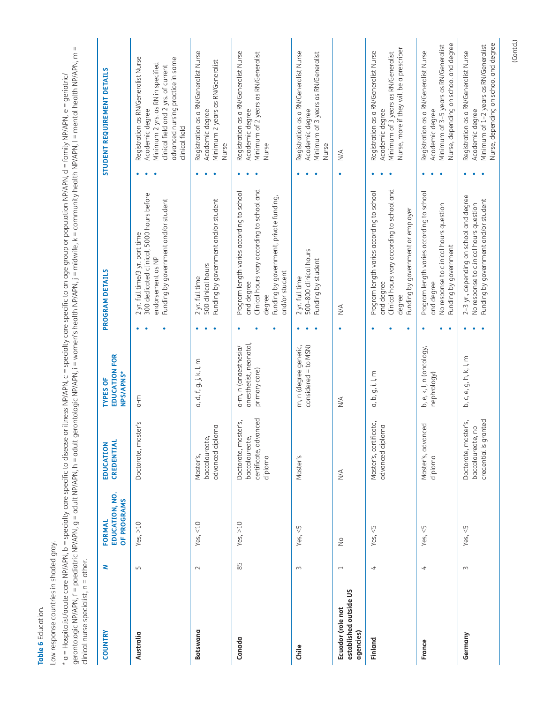<span id="page-8-0"></span>Table 6 Education. **Table 6** Education.

Low response countries in shaded gray. Low response countries in shaded gray.

\* a = Hospitalist/acute care NP/APN, b = specialty care specific to disease or illness NP/APN, c = specialty care specific to an age group or population NP/APN, d = family NP/APN, e = geriatric/<br>gerontologic NP/APN, f = pa gerontologic NP/APN, f = paediatric NP/APN, g = adult NP/APN, h = adult gerontologic NP/APN, i = women's health NP/APN, j = midwife, k = community health NP/APN, l = mental health NP/APN, m = \* a = Hospitalist/acute care NP/APN, b = specialty care specific to disease or illness NP/APN, c = specialty care specific to an age group or population NP/APN, d = family NP/APN, e = geriatric/ clinical nurse specialist, n = other.

| <b>COUNTRY</b>                                           | z                        | EDUCATION, NO.<br>OF PROGRAMS<br><b>FORMAL</b> | CREDENTIAL<br>EDUCATION                                                    | <b>EDUCATION FOR</b><br>NPS/APNS*<br><b>TYPES OF</b>            |        | PROGRAM DETAILS                                                                                                                                                               |                                       | STUDENT REQUIREMENT DETAILS                                                                                                                                                                |
|----------------------------------------------------------|--------------------------|------------------------------------------------|----------------------------------------------------------------------------|-----------------------------------------------------------------|--------|-------------------------------------------------------------------------------------------------------------------------------------------------------------------------------|---------------------------------------|--------------------------------------------------------------------------------------------------------------------------------------------------------------------------------------------|
| Australia                                                | $\Box$                   | Yes, $>10$                                     | Doctorate, master's                                                        | a-m                                                             |        | 300 dedicated clinical, 5000 hours before<br>Funding by government and/or student<br>2 yr. full time/3 yr. part time<br>endorsement as NP                                     |                                       | Registration as RN/Generalist Nurse<br>advanced nursing practice in same<br>Minimum 2 yrs. as RN in specified<br>clinical field and 2 yrs. of current<br>Academic degree<br>clinical field |
| <b>Botswana</b>                                          | $\sim$                   | Yes, $<$ 10                                    | advanced diploma<br>baccalaureate,<br>Master's,                            | a, d, f, g, j, k, l, m                                          |        | Funding by government and/or student<br>500 clinical hours<br>2 yr. full time                                                                                                 |                                       | Registration as a RN/Generalist Nurse<br>Minimum 2 years as RN/Generalist<br>Academic degree<br>Nurse                                                                                      |
| Canada                                                   | 85                       | Yes, $>10$                                     | certificate, advanced<br>Doctorate, master's,<br>baccalaureate,<br>diploma | anesthetist, neonatal,<br>a-m, n (anaesthesia/<br>primary care) |        | Clinical hours vary according to school and<br>Program length varies according to school<br>Funding by government, private funding,<br>and/or student<br>and degree<br>degree | Nurse                                 | Registration as a RN/Generalist Nurse<br>Minimum of 2 years as RN/Generalist<br>Academic degree                                                                                            |
| Chile                                                    | $\sim$                   | Yes, $<5$                                      | Master's                                                                   | m, n (degree generic,<br>$considered = to$ $MSN)$               |        | 500-800 clinical hours<br>Funding by student<br>2 yr. full time                                                                                                               | Nurse                                 | Registration as a RN/Generalist Nurse<br>Minimum of 3 years as RN/Generalist<br>Academic degree                                                                                            |
| established outside US<br>Ecuador (role not<br>agencies) | $\overline{\phantom{0}}$ | $\frac{1}{2}$                                  | $\frac{4}{2}$                                                              | $\stackrel{\triangle}{\geq}$                                    | ۰      | $\frac{4}{2}$                                                                                                                                                                 | $\stackrel{\triangleleft}{\geq}$<br>۰ |                                                                                                                                                                                            |
| Finland                                                  | $\overline{a}$           | Yes, $<$ 5                                     | Master's, certificate,<br>advanced diploma                                 | a, b, g, i, l, m                                                | ٠      | Clinical hours vary according to school and<br>Program length varies according to school<br>Funding by government or employer<br>and degree<br>degree                         |                                       | Nurse, more if they will be a prescriber<br>Registration as a RN/Generalist Nurse<br>Minimum of 3 years as RN/Generalist<br>Academic degree                                                |
| France                                                   | 4                        | Yes, $<$ 5                                     | ced<br>Master's, advan<br>diploma                                          | b, e, k, l, n (oncology,<br>nephrology)                         | ٠<br>٠ | Program length varies according to school<br>No response to clinical hours question<br>Funding by government<br>and degree                                                    |                                       | Nurse, depending on school and degree<br>Minimum of 3-5 years as RN/Generalist<br>Registration as a RN/Generalist Nurse<br>Academic degree                                                 |
| Germany                                                  | $\sim$                   | Yes, $<$ 5                                     | credential is granted<br>Doctorate, master's,<br>po<br>baccalaureate,      | b, c, e, g, h, k, l, m                                          |        | 2-3 yr., depending on school and degree<br>Funding by government and/or student<br>No response to clinical hours question                                                     |                                       | Nurse, depending on school and degree<br>Minimum of 1-2 years as RN/Generalist<br>Registration as a RN/Generalist Nurse<br>Academic degree                                                 |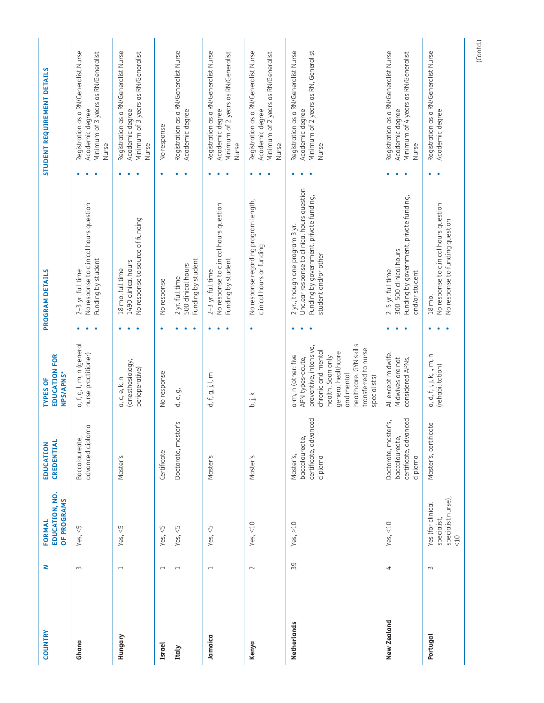| <b>COUNTRY</b> | 2                        | EDUCATION, NO.<br>OF PROGRAMS<br>FORMAL                                 | CREDENTIAL<br>EDUCATION                                                        | <b>EDUCATION FOR</b><br>NPS/APNS*<br><b>TYPES OF</b>                                                                                                                                                               |   | PROGRAM DETAILS                                                                                                                                   | STUDENT REQUIREMENT DETAILS                                                                                    |
|----------------|--------------------------|-------------------------------------------------------------------------|--------------------------------------------------------------------------------|--------------------------------------------------------------------------------------------------------------------------------------------------------------------------------------------------------------------|---|---------------------------------------------------------------------------------------------------------------------------------------------------|----------------------------------------------------------------------------------------------------------------|
| Ghana          | $\sim$                   | Yes, $\leq$ 5                                                           | advanced diploma<br>Baccalaureate,                                             | a, f, g, l, m, n (general<br>nurse practitioner)                                                                                                                                                                   |   | No response to clinical hours question<br>Funding by student<br>$2-3$ yr. full time                                                               | Registration as a RN/Generalist Nurse<br>Minimum of 3 years as RN/Generalist<br>Academic degree<br>Nurse       |
| Hungary        | $\overline{ }$           | Yes, $<$ 5                                                              | Master's                                                                       | (anesthesiology,<br>perioperative)<br>a, c, e, k, n                                                                                                                                                                |   | No response to source of funding<br>1490 clinical hours<br>18 mo. full time                                                                       | Registration as a RN/Generalist Nurse<br>Minimum of 3 years as RN/Generalist<br>Academic degree<br>Nurse       |
| <b>Israel</b>  | $\overline{ }$           | $\heartsuit$<br>Yes,                                                    | Certificate                                                                    | No response                                                                                                                                                                                                        | ٠ | No response                                                                                                                                       | No response<br>٠                                                                                               |
| Italy          | $\overline{\phantom{0}}$ | $\zeta$<br>Yes,                                                         | er's<br>Doctorate, mast                                                        | e, g,<br>ರ,                                                                                                                                                                                                        |   | Funding by student<br>500 clinical hours<br>2 yr. full time                                                                                       | Registration as a RN/Generalist Nurse<br>Academic degree<br>٠                                                  |
| Jamaica        | $\overline{\phantom{0}}$ | $\heartsuit$<br>Yes,                                                    | Master's                                                                       | d, f, g, j, l, m                                                                                                                                                                                                   |   | No response to clinical hours question<br>Funding by student<br>$2-3$ yr. full time                                                               | Registration as a RN/Generalist Nurse<br>Minimum of 2 years as RN/Generalist<br>Academic degree<br>Nurse       |
| Kenya          | $\sim$                   | Yes, $<$ 10                                                             | Master's                                                                       | b, j, k                                                                                                                                                                                                            | ٠ | No response regarding program length,<br>clinical hours or funding                                                                                | Registration as a RN/Generalist Nurse<br>Minimum of 2 years as RN/Generalist<br>Academic degree<br>Nurse       |
| Netherlands    | 39                       | Yes, $>10$                                                              | certificate, advanced<br>baccalaureate,<br>Master's,<br>diploma                | healthcare. GYN skills<br>preventive, intensive,<br>transferred to nurse<br>chronic and mental<br>general healthcare<br>a-m, n (other: five<br>health. Soon only<br>APN types-acute,<br>and mental<br>specialists) | ٠ | Unclear response to clinical hours question<br>Funding by government, private funding,<br>2 yr., though one program 3 yr.<br>student and/or other | Registration as a RN/Generalist Nurse<br>Minimum of 2 years as RN, Generalist<br>Academic degree<br>Nurse<br>٠ |
| New Zealand    | 4                        | $rac{1}{\sqrt{2}}$<br>Yes,                                              | certificate, advanced<br>er's,<br>Doctorate, mast<br>baccalaureate,<br>diploma | All except midwife.<br>Midwives are not<br>considered APNs.                                                                                                                                                        |   | Funding by government, private funding,<br>300-500 clinical hours<br>$2-5$ yr. full time<br>and/or student                                        | Registration as a RN/Generalist Nurse<br>Minimum of 4 years as RN/Generalist<br>Academic degree<br>Nurse       |
| Portugal       | $\sim$                   | specialist nurse),<br>Yes (for clinical<br>specialist,<br>$\frac{0}{2}$ | Master's, certificate                                                          | a, d, f, i, j, k, l, m, n<br>(rehabilitation)                                                                                                                                                                      |   | No response to clinical hours question<br>No response to funding question<br>18 mo.                                                               | Registration as a RN/Generalist Nurse<br>Academic degree                                                       |
|                |                          |                                                                         |                                                                                |                                                                                                                                                                                                                    |   |                                                                                                                                                   | (Contd.)                                                                                                       |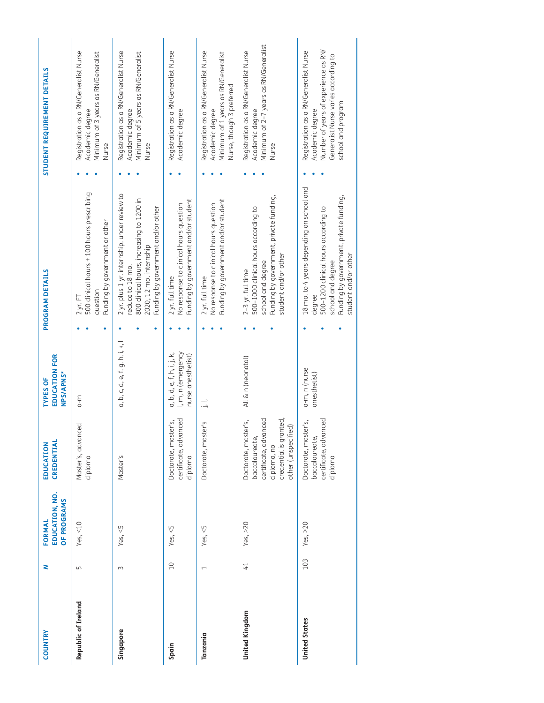| <b>COUNTRY</b>       | z                        | EDUCATION, NO.<br>OF PROGRAMS<br>FORMAL | CREDENTIAL<br>EDUCATION                                                                                                         | <b>EDUCATION FOR</b><br>NPS/APNS*<br><b>TYPES OF</b>                   | PROGRAM DETAILS                                                                                                                                                                     | STUDENT REQUIREMENT DETAILS                                                                                                                                    |
|----------------------|--------------------------|-----------------------------------------|---------------------------------------------------------------------------------------------------------------------------------|------------------------------------------------------------------------|-------------------------------------------------------------------------------------------------------------------------------------------------------------------------------------|----------------------------------------------------------------------------------------------------------------------------------------------------------------|
| Republic of Ireland  | $\Box$                   | Yes, $<$ 10                             | Master's, advanced<br>diploma                                                                                                   | $0 - m$                                                                | 500 clinical hours + 100 hours prescribing<br>Funding by government or other<br>question<br>$2$ yr. FT                                                                              | Registration as a RN/Generalist Nurse<br>Minimum of 3 years as RN/Generalist<br>Academic degree<br>Nurse                                                       |
| Singapore            | 3                        | Yes, $<$ 5                              | Master's                                                                                                                        | a, b, c, d, e, f, g, h, i, k, l                                        | 2 yr. plus 1 yr. internship, under review to<br>800 clinical hours, increasing to 1200 in<br>Funding by government and/or other<br>2020, 12 mo. internship<br>reduce to 18 mo.      | Registration as a RN/Generalist Nurse<br>Minimum of 5 years as RN/Generalist<br>Academic degree<br>Nurse                                                       |
| Spain                | 10                       | Yes, $<5$                               | certificate, advanced<br>Doctorate, master's,<br>diploma                                                                        | l, m, n (emergency<br>a, b, d, e, f, h, i, j, k,<br>nurse anesthetist) | Funding by government and/or student<br>No response to clinical hours question<br>2 yr. full time                                                                                   | Registration as a RN/Generalist Nurse<br>Academic degree                                                                                                       |
| Tanzania             | $\overline{\phantom{0}}$ | Yes, $<$ 5                              | Doctorate, master's                                                                                                             | $\vdots$                                                               | Funding by government and/or student<br>No response to clinical hours question<br>2 yr. full time                                                                                   | Registration as a RN/Generalist Nurse<br>Minimum of 1 years as RN/Generalist<br>Nurse, though 3 preferred<br>Academic degree                                   |
| United Kingdom       | $\overline{1}$           | Yes, $>20$                              | credential is granted,<br>certificate, advanced<br>Doctorate, master's,<br>other (unspecified)<br>baccalaureate,<br>diploma, no | All & n (neonatal)                                                     | Funding by government, private funding,<br>500-1000 clinical hours according to<br>student and/or other<br>school and degree<br>$2-3$ yr. full time                                 | Minimum of 2-7 years as RN/Generalist<br>Registration as a RN/Generalist Nurse<br>Academic degree<br>Nurse                                                     |
| <b>United States</b> | 103                      | Yes, $>20$                              | certificate, advanced<br>Doctorate, master's,<br>baccalaureate,<br>diploma                                                      | a-m, n (nurse<br>anesthetist)                                          | 18 mo. to 4 years depending on school and<br>Funding by government, private funding,<br>500-1200 clinical hours according to<br>student and/or other<br>school and degree<br>degree | Number of years of experience as RN/<br>Registration as a RN/Generalist Nurse<br>Generalist Nurse varies according to<br>school and program<br>Academic degree |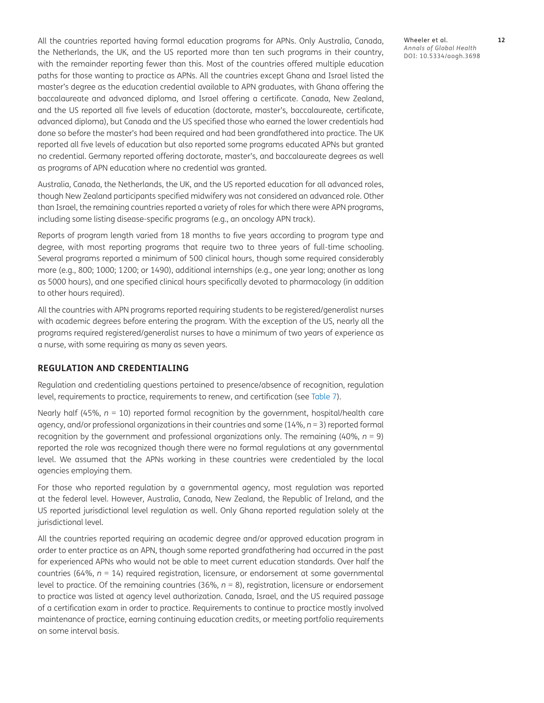All the countries reported having formal education programs for APNs. Only Australia, Canada, the Netherlands, the UK, and the US reported more than ten such programs in their country, with the remainder reporting fewer than this. Most of the countries offered multiple education paths for those wanting to practice as APNs. All the countries except Ghana and Israel listed the master's degree as the education credential available to APN graduates, with Ghana offering the baccalaureate and advanced diploma, and Israel offering a certificate. Canada, New Zealand, and the US reported all five levels of education (doctorate, master's, baccalaureate, certificate, advanced diploma), but Canada and the US specified those who earned the lower credentials had done so before the master's had been required and had been grandfathered into practice. The UK reported all five levels of education but also reported some programs educated APNs but granted no credential. Germany reported offering doctorate, master's, and baccalaureate degrees as well as programs of APN education where no credential was granted.

Australia, Canada, the Netherlands, the UK, and the US reported education for all advanced roles, though New Zealand participants specified midwifery was not considered an advanced role. Other than Israel, the remaining countries reported a variety of roles for which there were APN programs, including some listing disease-specific programs (e.g., an oncology APN track).

Reports of program length varied from 18 months to five years according to program type and degree, with most reporting programs that require two to three years of full-time schooling. Several programs reported a minimum of 500 clinical hours, though some required considerably more (e.g., 800; 1000; 1200; or 1490), additional internships (e.g., one year long; another as long as 5000 hours), and one specified clinical hours specifically devoted to pharmacology (in addition to other hours required).

All the countries with APN programs reported requiring students to be registered/generalist nurses with academic degrees before entering the program. With the exception of the US, nearly all the programs required registered/generalist nurses to have a minimum of two years of experience as a nurse, with some requiring as many as seven years.

#### **REGULATION AND CREDENTIALING**

Regulation and credentialing questions pertained to presence/absence of recognition, regulation level, requirements to practice, requirements to renew, and certification (see [Table 7](#page-12-0)).

Nearly half (45%,  $n = 10$ ) reported formal recognition by the government, hospital/health care agency, and/or professional organizations in their countries and some (14%, *n* = 3) reported formal recognition by the government and professional organizations only. The remaining (40%, *n* = 9) reported the role was recognized though there were no formal regulations at any governmental level. We assumed that the APNs working in these countries were credentialed by the local agencies employing them.

For those who reported regulation by a governmental agency, most regulation was reported at the federal level. However, Australia, Canada, New Zealand, the Republic of Ireland, and the US reported jurisdictional level regulation as well. Only Ghana reported regulation solely at the jurisdictional level.

All the countries reported requiring an academic degree and/or approved education program in order to enter practice as an APN, though some reported grandfathering had occurred in the past for experienced APNs who would not be able to meet current education standards. Over half the countries (64%, *n* = 14) required registration, licensure, or endorsement at some governmental level to practice. Of the remaining countries (36%, *n* = 8), registration, licensure or endorsement to practice was listed at agency level authorization. Canada, Israel, and the US required passage of a certification exam in order to practice. Requirements to continue to practice mostly involved maintenance of practice, earning continuing education credits, or meeting portfolio requirements on some interval basis.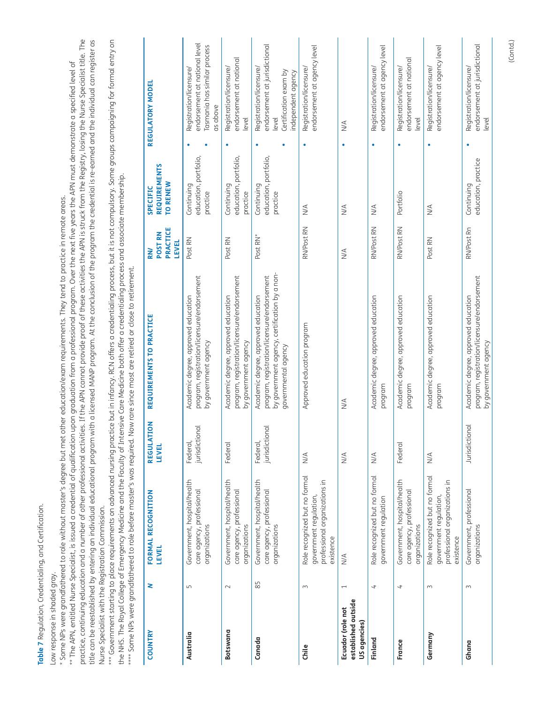Table 7 Regulation, Credentialing, and Certification. **Table 7** Regulation, Credentialing, and Certification.

<span id="page-12-0"></span>Low response in shaded gray. Low response in shaded gray.

\* Some NPs were grandfathered to role without master's degree but met other education/exam requirements. They tend to practice in remote areas. \* Some NPs were grandfathered to role without master's degree but met other education/exam requirements. They tend to practice in remote areas.

practice, continuing education and a number of other professional activities. If the APN cannot provide proof of these activities the APN is struck from the Registry, losing the Nurse Specialist title. The practice, continuing education and a number of other professional activities. If the APN cannot provide proof of these activities the APN is struck from the Registry, losing the Nurse Specialist title. The title can be reestablished by entering an individual educational educational program. At the conclusion of the program the credential is re-earned and the individual can register as title can be reestablished by entering an individual educational program with a licensed MANP program. At the conclusion of the program the credential is re-earned and the individual can register as \*\* The APN, entitled Nurse Specialist, is issued a credential of qualification upon graduation from a professional program. Over the next five years the APN must demonstrate a specified level of \*\* The APN, entitled Nurse Specialist, is issued a credential of qualification upon graduation from a professional program. Over the next five years the APN must demonstrate a specified level of Nurse Specialist with the Registration Commission. Nurse Specialist with the Registration Commission.

\*\*\* Government starting to place requirements on advanced nursing practice but in infancy. RCN offers a credentialing process, but it is not compulsory. Some groups campaigning for formal entry on \*\*\* Government starting to place requirements on advanced nursing practice but in infancy. RCN offers a credentialing process, but it is not compulsory. Some groups campaigning for formal entry on the NHS. The Royal College of Emergency Medicine and the Faculty of Intensive Care Medicine both offer a credentialing process and associate membership. the NHS. The Royal College of Emergency Medicine and the Faculty of Intensive Care Medicine both offer a credentialing process and associate membership.

\*\*\*\* Some NPs were grandfathered to role before master's was required. Now rare since most are retired or close to retirement. \*\*\*\* Some NPs were grandfathered to role before master's was required. Now rare since most are retired or close to retirement.

| COUNTRY                                                  | 2              | FORMAL RECOGNITION<br><b>LEVEL</b>                                                                    | REGULATION<br><b>LEVEL</b>     | REQUIREMENTS TO PRACTICE                                                                                                                                   | PRACTICE<br>POST RN<br><b>LEVEL</b><br><b>RN</b> | <b>REQUIREMENTS</b><br>TO RENEW<br>SPECIFIC     | REGULATORY MODEL                                                                                                 |
|----------------------------------------------------------|----------------|-------------------------------------------------------------------------------------------------------|--------------------------------|------------------------------------------------------------------------------------------------------------------------------------------------------------|--------------------------------------------------|-------------------------------------------------|------------------------------------------------------------------------------------------------------------------|
| Australia                                                | Б              | Government, hospital/health<br>care agency, professional<br>organizations                             | jurisdictional<br>Federal,     | program, registration/licensure/endorsement<br>Academic degree, approved education<br>by government agency                                                 | Post RN                                          | education, portfolio,<br>Continuing<br>practice | endorsement at national level<br>Tasmania has similar process<br>Registration/licensure/<br>as above             |
| Botswana                                                 | $\sim$         | Government, hospital/health<br>care agency, professional<br>organizations                             | Federal                        | program, registration/licensure/endorsement<br>Academic degree, approved education<br>by government agency                                                 | Post RN                                          | education, portfolio,<br>Continuing<br>practice | endorsement at national<br>Registration/licensure/<br>level                                                      |
| Canada                                                   | 85             | Government, hospital/health<br>care agency, professional<br>organizations                             | jurisdictional<br>Federal,     | by government agency, certification by a non-<br>program, registration/licensure/endorsement<br>Academic degree, approved education<br>governmental agency | Post RN*                                         | education, portfolio,<br>Continuing<br>practice | endorsement at jurisdictional<br>Registration/licensure/<br>Certification exam by<br>independent agency<br>level |
| Chile                                                    | $\sim$         | Role recognized but no formal<br>professional organizations in<br>government regulation,<br>existence | $\leq$                         | Approved education program                                                                                                                                 | RN/Post RN                                       | $\leq$                                          | endorsement at agency level<br>Registration/licensure/                                                           |
| established outside<br>Ecuador (role not<br>US agencies) | $\overline{ }$ | $\frac{4}{2}$                                                                                         | $\leq$                         | $\frac{4}{2}$                                                                                                                                              | $\leq$                                           | $\leq$                                          | $\stackrel{\triangle}{\geq}$                                                                                     |
| Finland                                                  | 4              | Role recognized but no formal<br>government regulation                                                | $\frac{4}{2}$                  | Academic degree, approved education<br>program                                                                                                             | RN/Post RN                                       | $\leq$                                          | endorsement at agency level<br>Registration/licensure/<br>٠                                                      |
| France                                                   | 4              | Government, hospital/health<br>care agency, professional<br>organizations                             | Federal                        | Academic degree, approved education<br>program                                                                                                             | RN/Post RN                                       | Portfolio                                       | endorsement at national<br>Registration/licensure/<br>level                                                      |
| Germany                                                  | $\sim$         | Role recognized but no formal<br>professional organizations in<br>government regulation,<br>existence | $\frac{4}{2}$                  | Academic degree, approved education<br>program                                                                                                             | Post RN                                          | N/A                                             | endorsement at agency level<br>Registration/licensure/                                                           |
| Ghana                                                    | 3              | Government, professional<br>organizations                                                             | $\overline{p}$<br>Jurisdiction | program, registration/licensure/endorsement<br>Academic degree, approved education<br>by government agency                                                 | RN/Post Rn                                       | education, practice<br>Continuing               | endorsement at jurisdictional<br>Registration/licensure/<br>level                                                |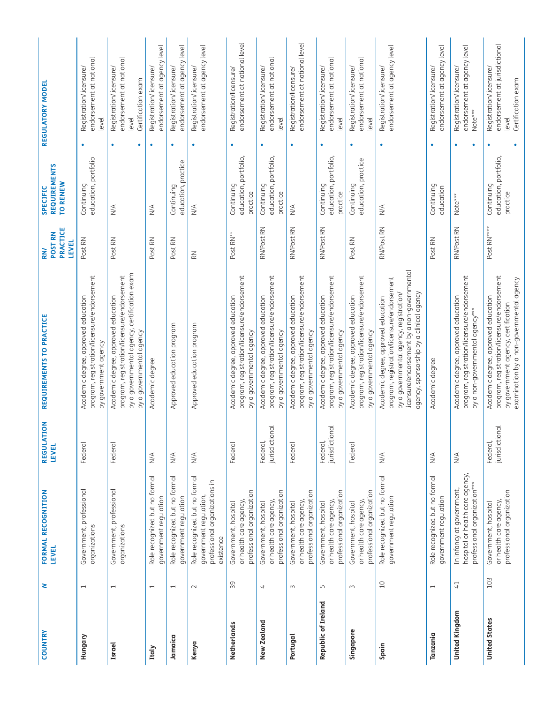| <b>COUNTRY</b>        | 2                        | FORMAL RECOGNITION<br><b>LEVEL</b>                                                                    | $\overline{6}$<br><b>REGULATI</b><br><b>LEVEL</b> | REQUIREMENTS TO PRACTICE                                                                                                                                                                                                 | PRACTICE<br>POST RN<br><b>LEVEL</b><br><b>RN</b> | <b>REQUIREMENTS</b><br>TO RENEW<br><b>SPECIFIC</b> | REGULATORY MODEL                                                                            |                               |
|-----------------------|--------------------------|-------------------------------------------------------------------------------------------------------|---------------------------------------------------|--------------------------------------------------------------------------------------------------------------------------------------------------------------------------------------------------------------------------|--------------------------------------------------|----------------------------------------------------|---------------------------------------------------------------------------------------------|-------------------------------|
| Hungary               | $\overline{\phantom{0}}$ | Government, professional<br>organizations                                                             | Federal                                           | program, registration/licensure/endorsement<br>Academic degree, approved education<br>by government agency                                                                                                               | Post RN                                          | education, portfolio<br>Continuing                 | endorsement at national<br>Registration/licensure/<br>level<br>٠                            |                               |
| <b>Israel</b>         | $\overline{\phantom{0}}$ | Government, professional<br>organizations                                                             | Federal                                           | by a governmental agency, certification exam<br>program, registration/licensure/endorsement<br>Academic degree, approved education<br>a governmental agency<br>$\geq$                                                    | Post RN                                          | $\sum_{i=1}^{n}$                                   | endorsement at national<br>Registration/licensure/<br>Certification exam<br>level<br>۰<br>۰ |                               |
| Italy                 | $\overline{\phantom{0}}$ | Role recognized but no formal<br>government regulation                                                | $\stackrel{\triangleleft}{\geq}$                  | Academic degree                                                                                                                                                                                                          | Post RN                                          | $\frac{4}{2}$                                      | Registration/licensure/<br>$\bullet$                                                        | endorsement at agency level   |
| Jamaica               | $\overline{\phantom{0}}$ | Role recognized but no formal<br>government regulation                                                | $\stackrel{\triangle}{\geq}$                      | Approved education program                                                                                                                                                                                               | Post RN                                          | education, practice<br>Continuing                  | Registration/licensure/<br>$\bullet$                                                        | endorsement at agency level   |
| Kenya                 | $\sim$                   | Role recognized but no formal<br>professional organizations in<br>government regulation,<br>existence | $\leq$                                            | Approved education program                                                                                                                                                                                               | $\gtrapprox$                                     | $\stackrel{\triangle}{\geq}$                       | Registration/licensure/<br>۰                                                                | endorsement at agency level   |
| Netherlands           | 39                       | professional organization<br>Government, hospital<br>or health care agency                            | Federal                                           | program, registration/licensure/endorsement<br>Academic degree, approved education<br>by a governmental agency                                                                                                           | Post RN**                                        | education, portfolio,<br>Continuing<br>practice    | Registration/licensure/<br>$\bullet$                                                        | endorsement at national level |
| New Zealand           | $\overline{\mathcal{A}}$ | professional organization<br>or health care agency<br>Government, hospital                            | jurisdictional<br>Federal,                        | program, registration/licensure/endorsement<br>Academic degree, approved education<br>by a governmental agency                                                                                                           | RN/Post RN                                       | education, portfolio,<br>Continuing<br>practice    | endorsement at national<br>Registration/licensure/<br>level<br>٠                            |                               |
| Portugal              | $\sim$                   | professional organization<br>or health care agency<br>Government, hospital                            | Federal                                           | program, registration/licensure/endorsement<br>Academic degree, approved education<br>by a governmental agency                                                                                                           | RN/Post RN                                       | $\stackrel{\triangleleft}{\geq}$                   | Registration/licensure/<br>۰                                                                | endorsement at national level |
| Republic of Ireland   | $\sqrt{2}$               | professional organization<br>or health care agency<br>Government, hospital                            | ē<br>jurisdiction<br>Federal,                     | program, registration/licensure/endorsement<br>Academic degree, approved education<br>by a governmental agency                                                                                                           | RN/Post RN                                       | education, portfolio,<br>Continuing<br>practice    | endorsement at national<br>Registration/licensure/<br>level<br>٠                            |                               |
| Singapore             | $\sim$                   | professional organization<br>or health care agency<br>Government, hospital                            | Federal                                           | program, registration/licensure/endorsement<br>Academic degree, approved education<br>by a governmental agency                                                                                                           | Post RN                                          | education, practice<br>Continuing                  | endorsement at national<br>Registration/licensure/<br>level<br>٠                            |                               |
| Spain                 | $\overline{10}$          | Role recognized but no formal<br>government regulation                                                | $\frac{4}{2}$                                     | licensure/endorsement by a non-governmental<br>program, registration/licensure/endorsement<br>by a governmental agency, registration/<br>agency, sponsorship by a clinical agency<br>Academic degree, approved education | RN/Post RN                                       | $\frac{4}{2}$                                      | Registration/licensure/<br>$\bullet$                                                        | endorsement at agency level   |
| Tanzania              | $\overline{\phantom{0}}$ | Role recognized but no formal<br>government regulation                                                | $\stackrel{\triangle}{\geq}$                      | Academic degree                                                                                                                                                                                                          | Post RN                                          | Continuing<br>education                            | Registration/licensure/<br>٠                                                                | endorsement at agency level   |
| <b>United Kingdom</b> | 41                       | hospital or health care agency,<br>professional organization***<br>In infancy at government,          | $\stackrel{\triangleleft}{\geq}$                  | program, registration/licensure/endorsement<br>Academic degree, approved education<br>by a non-governmental agency***                                                                                                    | RN/Post RN                                       | Note***                                            | Registration/licensure/<br>Note***<br>٠<br>٠                                                | endorsement at agency level   |
| <b>United States</b>  | 103                      | professional organization<br>or health care agency<br>Government, hospital                            | jurisdictional<br>Federal,                        | program, registration/licensure/endorsement<br>examination by a non-governmental agency<br>Academic degree, approved education<br>by government agency, certification                                                    | Post RN****                                      | education, portfolio,<br>Continuing<br>practice    | Registration/licensure/<br>Certification exam<br>level<br>$\bullet$                         | endorsement at jurisdictional |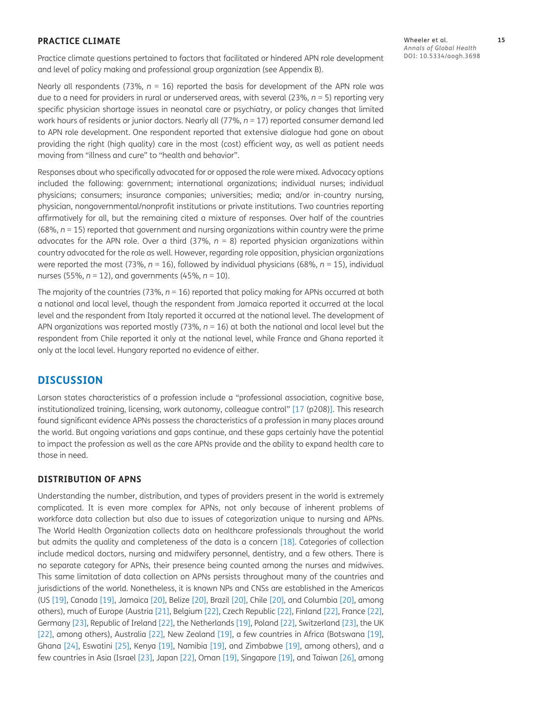#### **PRACTICE CLIMATE**

Practice climate questions pertained to factors that facilitated or hindered APN role development and level of policy making and professional group organization (see Appendix B).

Nearly all respondents (73%,  $n = 16$ ) reported the basis for development of the APN role was due to a need for providers in rural or underserved areas, with several (23%, *n* = 5) reporting very specific physician shortage issues in neonatal care or psychiatry, or policy changes that limited work hours of residents or junior doctors. Nearly all (77%,  $n = 17$ ) reported consumer demand led to APN role development. One respondent reported that extensive dialogue had gone on about providing the right (high quality) care in the most (cost) efficient way, as well as patient needs moving from "illness and cure" to "health and behavior".

Responses about who specifically advocated for or opposed the role were mixed. Advocacy options included the following: government; international organizations; individual nurses; individual physicians; consumers; insurance companies; universities; media; and/or in-country nursing, physician, nongovernmental/nonprofit institutions or private institutions. Two countries reporting affirmatively for all, but the remaining cited a mixture of responses. Over half of the countries (68%, *n* = 15) reported that government and nursing organizations within country were the prime advocates for the APN role. Over a third (37%, *n* = 8) reported physician organizations within country advocated for the role as well. However, regarding role opposition, physician organizations were reported the most (73%,  $n = 16$ ), followed by individual physicians (68%,  $n = 15$ ), individual nurses (55%, *n* = 12), and governments (45%, *n* = 10).

The majority of the countries (73%,  $n = 16$ ) reported that policy making for APNs occurred at both a national and local level, though the respondent from Jamaica reported it occurred at the local level and the respondent from Italy reported it occurred at the national level. The development of APN organizations was reported mostly (73%,  $n = 16$ ) at both the national and local level but the respondent from Chile reported it only at the national level, while France and Ghana reported it only at the local level. Hungary reported no evidence of either.

### **DISCUSSION**

Larson states characteristics of a profession include a "professional association, cognitive base, institutionalized training, licensing, work autonomy, colleague control" [\[17](#page-19-11) (p208)]. This research found significant evidence APNs possess the characteristics of a profession in many places around the world. But ongoing variations and gaps continue, and these gaps certainly have the potential to impact the profession as well as the care APNs provide and the ability to expand health care to those in need.

#### **DISTRIBUTION OF APNS**

Understanding the number, distribution, and types of providers present in the world is extremely complicated. It is even more complex for APNs, not only because of inherent problems of workforce data collection but also due to issues of categorization unique to nursing and APNs. The World Health Organization collects data on healthcare professionals throughout the world but admits the quality and completeness of the data is a concern [[18\]](#page-19-12). Categories of collection include medical doctors, nursing and midwifery personnel, dentistry, and a few others. There is no separate category for APNs, their presence being counted among the nurses and midwives. This same limitation of data collection on APNs persists throughout many of the countries and jurisdictions of the world. Nonetheless, it is known NPs and CNSs are established in the Americas (US [[19\]](#page-19-13), Canada [\[19\]](#page-19-13), Jamaica [\[20\]](#page-19-14), Belize [[20](#page-19-14)], Brazil [[20\]](#page-19-14), Chile [\[20\]](#page-19-14), and Columbia [\[20\]](#page-19-14), among others), much of Europe (Austria [\[21\]](#page-19-15), Belgium [\[22](#page-19-16)], Czech Republic [\[22\]](#page-19-16), Finland [\[22\]](#page-19-16), France [[22\]](#page-19-16), Germany [\[23\]](#page-19-17), Republic of Ireland [[22\]](#page-19-16), the Netherlands [[19](#page-19-13)], Poland [[22](#page-19-16)], Switzerland [[23](#page-19-17)], the UK [\[22\]](#page-19-16), among others), Australia [\[22\]](#page-19-16), New Zealand [[19](#page-19-13)], a few countries in Africa (Botswana [[19\]](#page-19-13), Ghana [[24](#page-19-18)], Eswatini [[25\]](#page-19-19), Kenya [[19\]](#page-19-13), Namibia [\[19\]](#page-19-13), and Zimbabwe [\[19\]](#page-19-13), among others), and a few countries in Asia (Israel [\[23\]](#page-19-17), Japan [[22\]](#page-19-16), Oman [[19\]](#page-19-13), Singapore [\[19\]](#page-19-13), and Taiwan [[26\]](#page-19-20), among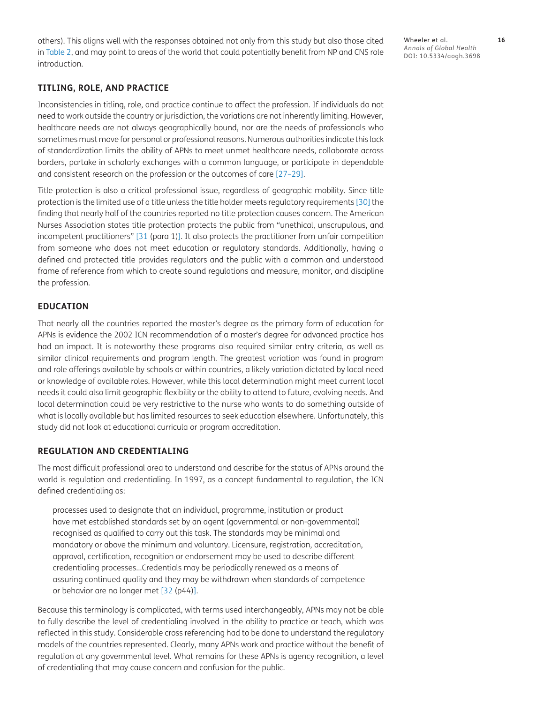others). This aligns well with the responses obtained not only from this study but also those cited in [Table 2](#page-2-0), and may point to areas of the world that could potentially benefit from NP and CNS role introduction.

Wheeler et al. **16** *Annals of Global Health* DOI: 10.5334/aogh.3698

#### **TITLING, ROLE, AND PRACTICE**

Inconsistencies in titling, role, and practice continue to affect the profession. If individuals do not need to work outside the country or jurisdiction, the variations are not inherently limiting. However, healthcare needs are not always geographically bound, nor are the needs of professionals who sometimes must move for personal or professional reasons. Numerous authorities indicate this lack of standardization limits the ability of APNs to meet unmet healthcare needs, collaborate across borders, partake in scholarly exchanges with a common language, or participate in dependable and consistent research on the profession or the outcomes of care [\[27–](#page-19-21)[29\]](#page-20-0).

Title protection is also a critical professional issue, regardless of geographic mobility. Since title protection is the limited use of a title unless the title holder meets regulatory requirements [[30\]](#page-20-1) the finding that nearly half of the countries reported no title protection causes concern. The American Nurses Association states title protection protects the public from "unethical, unscrupulous, and incompetent practitioners" [\[31](#page-20-2) (para 1)]. It also protects the practitioner from unfair competition from someone who does not meet education or regulatory standards. Additionally, having a defined and protected title provides regulators and the public with a common and understood frame of reference from which to create sound regulations and measure, monitor, and discipline the profession.

#### **EDUCATION**

That nearly all the countries reported the master's degree as the primary form of education for APNs is evidence the 2002 ICN recommendation of a master's degree for advanced practice has had an impact. It is noteworthy these programs also required similar entry criteria, as well as similar clinical requirements and program length. The greatest variation was found in program and role offerings available by schools or within countries, a likely variation dictated by local need or knowledge of available roles. However, while this local determination might meet current local needs it could also limit geographic flexibility or the ability to attend to future, evolving needs. And local determination could be very restrictive to the nurse who wants to do something outside of what is locally available but has limited resources to seek education elsewhere. Unfortunately, this study did not look at educational curricula or program accreditation.

#### **REGULATION AND CREDENTIALING**

The most difficult professional area to understand and describe for the status of APNs around the world is regulation and credentialing. In 1997, as a concept fundamental to regulation, the ICN defined credentialing as:

processes used to designate that an individual, programme, institution or product have met established standards set by an agent (governmental or non-governmental) recognised as qualified to carry out this task. The standards may be minimal and mandatory or above the minimum and voluntary. Licensure, registration, accreditation, approval, certification, recognition or endorsement may be used to describe different credentialing processes…Credentials may be periodically renewed as a means of assuring continued quality and they may be withdrawn when standards of competence or behavior are no longer met [\[32 \(](#page-20-3)p44)].

Because this terminology is complicated, with terms used interchangeably, APNs may not be able to fully describe the level of credentialing involved in the ability to practice or teach, which was reflected in this study. Considerable cross referencing had to be done to understand the regulatory models of the countries represented. Clearly, many APNs work and practice without the benefit of regulation at any governmental level. What remains for these APNs is agency recognition, a level of credentialing that may cause concern and confusion for the public.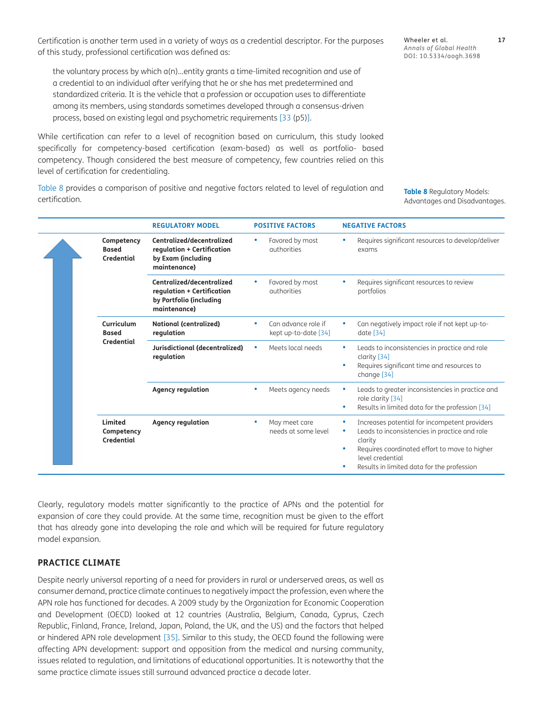Certification is another term used in a variety of ways as a credential descriptor. For the purposes of this study, professional certification was defined as:

the voluntary process by which a(n)…entity grants a time-limited recognition and use of a credential to an individual after verifying that he or she has met predetermined and standardized criteria. It is the vehicle that a profession or occupation uses to differentiate among its members, using standards sometimes developed through a consensus-driven process, based on existing legal and psychometric requirements [[33 \(](#page-20-4)p5)].

While certification can refer to a level of recognition based on curriculum, this study looked specifically for competency-based certification (exam-based) as well as portfolio- based competency. Though considered the best measure of competency, few countries relied on this level of certification for credentialing.

[Table 8](#page-16-0) provides a comparison of positive and negative factors related to level of regulation and certification.

<span id="page-16-0"></span>**Table 8** Regulatory Models: Advantages and Disadvantages.

|  | Competency<br><b>Based</b><br><b>Credential</b> | Centralized/decentralized<br>regulation + Certification<br>by Exam (including<br>maintenance)      | Favored by most<br>authorities              |        | Requires significant resources to develop/deliver<br>exams                                                                                                                                                                   |
|--|-------------------------------------------------|----------------------------------------------------------------------------------------------------|---------------------------------------------|--------|------------------------------------------------------------------------------------------------------------------------------------------------------------------------------------------------------------------------------|
|  |                                                 | Centralized/decentralized<br>regulation + Certification<br>by Portfolio (including<br>maintenance) | Favored by most<br>authorities              |        | Requires significant resources to review<br>portfolios                                                                                                                                                                       |
|  | Curriculum<br><b>Based</b><br><b>Credential</b> | <b>National (centralized)</b><br>regulation                                                        | Can advance role if<br>kept up-to-date [34] |        | Can negatively impact role if not kept up-to-<br>date [34]                                                                                                                                                                   |
|  |                                                 | Jurisdictional (decentralized)<br>regulation                                                       | Meets local needs                           | ۰      | Leads to inconsistencies in practice and role<br>clarity [34]<br>Requires significant time and resources to<br>change [34]                                                                                                   |
|  |                                                 | <b>Agency regulation</b>                                                                           | Meets agency needs                          | ۰      | Leads to greater inconsistencies in practice and<br>role clarity [34]<br>Results in limited data for the profession [34]                                                                                                     |
|  | Limited<br>Competency<br><b>Credential</b>      | <b>Agency regulation</b>                                                                           | May meet care<br>needs at some level        | ۰<br>۰ | Increases potential for incompetent providers<br>Leads to inconsistencies in practice and role<br>clarity<br>Requires coordinated effort to move to higher<br>level credential<br>Results in limited data for the profession |
|  |                                                 |                                                                                                    |                                             |        |                                                                                                                                                                                                                              |

**REGULATORY MODEL POSITIVE FACTORS NEGATIVE FACTORS**

Clearly, regulatory models matter significantly to the practice of APNs and the potential for expansion of care they could provide. At the same time, recognition must be given to the effort that has already gone into developing the role and which will be required for future regulatory model expansion.

#### **PRACTICE CLIMATE**

Despite nearly universal reporting of a need for providers in rural or underserved areas, as well as consumer demand, practice climate continues to negatively impact the profession, even where the APN role has functioned for decades. A 2009 study by the Organization for Economic Cooperation and Development (OECD) looked at 12 countries (Australia, Belgium, Canada, Cyprus, Czech Republic, Finland, France, Ireland, Japan, Poland, the UK, and the US) and the factors that helped or hindered APN role development [\[35](#page-20-5)]. Similar to this study, the OECD found the following were affecting APN development: support and opposition from the medical and nursing community, issues related to regulation, and limitations of educational opportunities. It is noteworthy that the same practice climate issues still surround advanced practice a decade later.

*Annals of Global Health* DOI: 10.5334/aogh.3698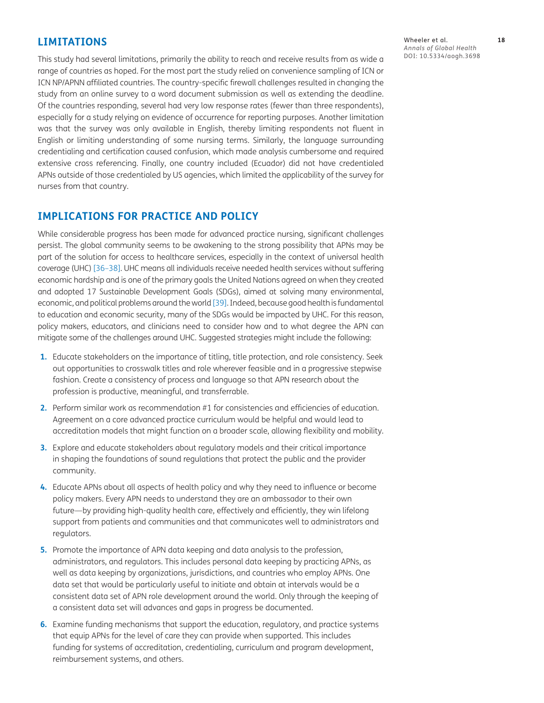#### **LIMITATIONS**

This study had several limitations, primarily the ability to reach and receive results from as wide a range of countries as hoped. For the most part the study relied on convenience sampling of ICN or ICN NP/APNN affiliated countries. The country-specific firewall challenges resulted in changing the study from an online survey to a word document submission as well as extending the deadline. Of the countries responding, several had very low response rates (fewer than three respondents), especially for a study relying on evidence of occurrence for reporting purposes. Another limitation was that the survey was only available in English, thereby limiting respondents not fluent in English or limiting understanding of some nursing terms. Similarly, the language surrounding credentialing and certification caused confusion, which made analysis cumbersome and required extensive cross referencing. Finally, one country included (Ecuador) did not have credentialed APNs outside of those credentialed by US agencies, which limited the applicability of the survey for nurses from that country.

#### **IMPLICATIONS FOR PRACTICE AND POLICY**

While considerable progress has been made for advanced practice nursing, significant challenges persist. The global community seems to be awakening to the strong possibility that APNs may be part of the solution for access to healthcare services, especially in the context of universal health coverage (UHC) [[36](#page-20-7)[–38\]](#page-20-8). UHC means all individuals receive needed health services without suffering economic hardship and is one of the primary goals the United Nations agreed on when they created and adopted 17 Sustainable Development Goals (SDGs), aimed at solving many environmental, economic, and political problems around the world [\[39](#page-20-9)]. Indeed, because good health is fundamental to education and economic security, many of the SDGs would be impacted by UHC. For this reason, policy makers, educators, and clinicians need to consider how and to what degree the APN can mitigate some of the challenges around UHC. Suggested strategies might include the following:

- **1.** Educate stakeholders on the importance of titling, title protection, and role consistency. Seek out opportunities to crosswalk titles and role wherever feasible and in a progressive stepwise fashion. Create a consistency of process and language so that APN research about the profession is productive, meaningful, and transferrable.
- **2.** Perform similar work as recommendation #1 for consistencies and efficiencies of education. Agreement on a core advanced practice curriculum would be helpful and would lead to accreditation models that might function on a broader scale, allowing flexibility and mobility.
- **3.** Explore and educate stakeholders about regulatory models and their critical importance in shaping the foundations of sound regulations that protect the public and the provider community.
- **4.** Educate APNs about all aspects of health policy and why they need to influence or become policy makers. Every APN needs to understand they are an ambassador to their own future—by providing high-quality health care, effectively and efficiently, they win lifelong support from patients and communities and that communicates well to administrators and regulators.
- **5.** Promote the importance of APN data keeping and data analysis to the profession, administrators, and regulators. This includes personal data keeping by practicing APNs, as well as data keeping by organizations, jurisdictions, and countries who employ APNs. One data set that would be particularly useful to initiate and obtain at intervals would be a consistent data set of APN role development around the world. Only through the keeping of a consistent data set will advances and gaps in progress be documented.
- **6.** Examine funding mechanisms that support the education, regulatory, and practice systems that equip APNs for the level of care they can provide when supported. This includes funding for systems of accreditation, credentialing, curriculum and program development, reimbursement systems, and others.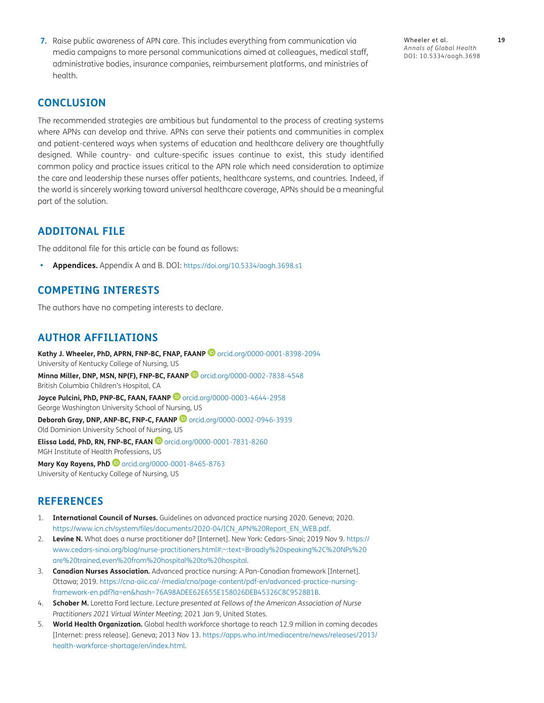**7.** Raise public awareness of APN care. This includes everything from communication via media campaigns to more personal communications aimed at colleagues, medical staff, administrative bodies, insurance companies, reimbursement platforms, and ministries of health.

Wheeler et al. **19** *Annals of Global Health* DOI: 10.5334/aogh.3698

#### **CONCLUSION**

The recommended strategies are ambitious but fundamental to the process of creating systems where APNs can develop and thrive. APNs can serve their patients and communities in complex and patient-centered ways when systems of education and healthcare delivery are thoughtfully designed. While country- and culture-specific issues continue to exist, this study identified common policy and practice issues critical to the APN role which need consideration to optimize the care and leadership these nurses offer patients, healthcare systems, and countries. Indeed, if the world is sincerely working toward universal healthcare coverage, APNs should be a meaningful part of the solution.

#### **ADDITONAL FILE**

The additonal file for this article can be found as follows:

**• Appendices.** Appendix A and B. DOI: <https://doi.org/10.5334/aogh.3698.s1>

#### **COMPETING INTERESTS**

The authors have no competing interests to declare.

#### <span id="page-18-0"></span>**AUTHOR AFFILIATIONS**

**Kathy J. Wheeler, PhD, APRN, FNP-BC, FNAP, FAANP** [orcid.org/0000-0001-8398-2094](https://orcid.org/0000-0001-8398-2094) University of Kentucky College of Nursing, US

**Minna Miller, DNP, MSN, NP(F), FNP-BC, FAANP <sup>1</sup> [orcid.org/0000-0002-7838-4548](https://orcid.org/0000-0002-7838-4548)** British Columbia Children's Hospital, CA

**Joyce Pulcini, PhD, PNP-BC, FAAN, FAANP <sup>1</sup>O** [orcid.org/0000-0003-4644-2958](https://orcid.org/0000-0003-4644-2958) George Washington University School of Nursing, US

**Deborah Gray, DNP, ANP-BC, FNP-C, FAANP @** [orcid.org/0000-0002-0946-3939](https://orcid.org/0000-0002-0946-3939) Old Dominion University School of Nursing, US

**ElissaLadd, PhD, RN, FNP-BC, FAAN D** [orcid.org/0000-0001-7831-8260](https://orcid.org/0000-0001-7831-8260) MGH Institute of Health Professions, US

**Mary Kay Rayens, PhD**[orcid.org/0000-0001-8465-8763](https://orcid.org/0000-0001-8465-8763) University of Kentucky College of Nursing, US

#### **REFERENCES**

- <span id="page-18-1"></span>1. **International Council of Nurses.** Guidelines on advanced practice nursing 2020. Geneva; 2020. [https://www.icn.ch/system/files/documents/2020-04/ICN\\_APN%20Report\\_EN\\_WEB.pdf](https://www.icn.ch/system/files/documents/2020-04/ICN_APN%20Report_EN_WEB.pdf).
- <span id="page-18-2"></span>2. **Levine N.** What does a nurse practitioner do? [Internet]. New York: Cedars-Sinai; 2019 Nov 9. [https://](https://www.cedars-sinai.org/blog/nurse-practitioners.html#:~:text=Broadly%20speaking%2C%20NPs%20are%20trained,even%20from%20hospital%20to%20hospital) [www.cedars-sinai.org/blog/nurse-practitioners.html#:~:text=Broadly%20speaking%2C%20NPs%20](https://www.cedars-sinai.org/blog/nurse-practitioners.html#:~:text=Broadly%20speaking%2C%20NPs%20are%20trained,even%20from%20hospital%20to%20hospital) [are%20trained,even%20from%20hospital%20to%20hospital](https://www.cedars-sinai.org/blog/nurse-practitioners.html#:~:text=Broadly%20speaking%2C%20NPs%20are%20trained,even%20from%20hospital%20to%20hospital).
- <span id="page-18-3"></span>3. **Canadian Nurses Association.** Advanced practice nursing: A Pan-Canadian framework [Internet]. Ottawa; 2019. [https://cna-aiic.ca/-/media/cna/page-content/pdf-en/advanced-practice-nursing](https://cna-aiic.ca/-/media/cna/page-content/pdf-en/advanced-practice-nursing-framework-en.pdf?la=en&hash=76A98ADEE62E655E158026DEB45326C8C9528B1B )[framework-en.pdf?la=en&hash=76A98ADEE62E655E158026DEB45326C8C9528B1B.](https://cna-aiic.ca/-/media/cna/page-content/pdf-en/advanced-practice-nursing-framework-en.pdf?la=en&hash=76A98ADEE62E655E158026DEB45326C8C9528B1B )
- <span id="page-18-4"></span>4. **Schober M.** Loretta Ford lecture. *Lecture presented at Fellows of the American Association of Nurse Practitioners 2021 Virtual Winter Meeting*; 2021 Jan 9, United States.
- <span id="page-18-5"></span>5. **World Health Organization.** Global health workforce shortage to reach 12.9 million in coming decades [Internet: press release]. Geneva; 2013 Nov 13. [https://apps.who.int/mediacentre/news/releases/2013/](https://apps.who.int/mediacentre/news/releases/2013/health-workforce-shortage/en/index.html) [health-workforce-shortage/en/index.html](https://apps.who.int/mediacentre/news/releases/2013/health-workforce-shortage/en/index.html).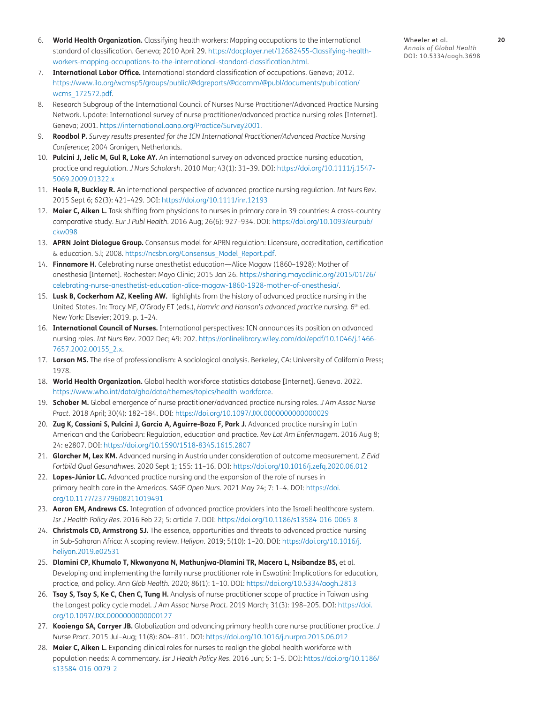- <span id="page-19-0"></span>6. **World Health Organization.** Classifying health workers: Mapping occupations to the international standard of classification. Geneva; 2010 April 29. [https://docplayer.net/12682455-Classifying-health](https://docplayer.net/12682455-Classifying-health-workers-mapping-occupations-to-the-international-standard-classification.html)[workers-mapping-occupations-to-the-international-standard-classification.html.](https://docplayer.net/12682455-Classifying-health-workers-mapping-occupations-to-the-international-standard-classification.html)
- <span id="page-19-1"></span>7. **International Labor Office.** International standard classification of occupations. Geneva; 2012. [https://www.ilo.org/wcmsp5/groups/public/@dgreports/@dcomm/@publ/documents/publication/](https://www.ilo.org/wcmsp5/groups/public/@dgreports/@dcomm/@publ/documents/publication/wcms_172572.pdf) [wcms\\_172572.pdf.](https://www.ilo.org/wcmsp5/groups/public/@dgreports/@dcomm/@publ/documents/publication/wcms_172572.pdf)
- <span id="page-19-2"></span>8. Research Subgroup of the International Council of Nurses Nurse Practitioner/Advanced Practice Nursing Network. Update: International survey of nurse practitioner/advanced practice nursing roles [Internet]. Geneva; 2001. [https://international.aanp.org/Practice/Survey2001.](https://international.aanp.org/Practice/Survey2001  )
- <span id="page-19-4"></span>9. **Roodbol P.** *Survey results presented for the ICN International Practitioner/Advanced Practice Nursing Conference*; 2004 Gronigen, Netherlands.
- <span id="page-19-5"></span>10. **Pulcini J, Jelic M, Gul R, Loke AY.** An international survey on advanced practice nursing education, practice and regulation. *J Nurs Scholarsh.* 2010 Mar; 43(1): 31–39. DOI: [https://doi.org/10.1111/j.1547-](https://doi.org/10.1111/j.1547-5069.2009.01322.x ) [5069.2009.01322.x](https://doi.org/10.1111/j.1547-5069.2009.01322.x )
- <span id="page-19-6"></span>11. **Heale R, Buckley R.** An international perspective of advanced practice nursing regulation. *Int Nurs Rev.*  2015 Sept 6; 62(3): 421–429. DOI: [https://doi.org/10.1111/inr.12193](https://doi.org/10.1111/inr.12193 )
- <span id="page-19-3"></span>12. **Maier C, Aiken L.** Task shifting from physicians to nurses in primary care in 39 countries: A cross-country comparative study. *Eur J Publ Health.* 2016 Aug; 26(6): 927–934. DOI: [https://doi.org/10.1093/eurpub/](https://doi.org/10.1093/eurpub/ckw098 ) [ckw098](https://doi.org/10.1093/eurpub/ckw098 )
- <span id="page-19-7"></span>13. **APRN Joint Dialogue Group.** Consensus model for APRN regulation: Licensure, accreditation, certification & education. S.l; 2008. [https://ncsbn.org/Consensus\\_Model\\_Report.pdf.](https://ncsbn.org/Consensus_Model_Report.pdf )
- <span id="page-19-8"></span>14. **Finnamore H.** Celebrating nurse anesthetist education—Alice Magaw (1860–1928): Mother of anesthesia [Internet]. Rochester: Mayo Clinic; 2015 Jan 26. [https://sharing.mayoclinic.org/2015/01/26/](https://sharing.mayoclinic.org/2015/01/26/celebrating-nurse-anesthetist-education-alice-magaw-1860-1928-mother-of-anesthesia/ ) [celebrating-nurse-anesthetist-education-alice-magaw-1860-1928-mother-of-anesthesia/.](https://sharing.mayoclinic.org/2015/01/26/celebrating-nurse-anesthetist-education-alice-magaw-1860-1928-mother-of-anesthesia/ )
- <span id="page-19-9"></span>15. **Lusk B, Cockerham AZ, Keeling AW.** Highlights from the history of advanced practice nursing in the United States. In: Tracy MF, O'Grady ET (eds.), *Hamric and Hanson's advanced practice nursing.* 6<sup>th</sup> ed. New York: Elsevier; 2019. p. 1–24.
- <span id="page-19-10"></span>16. **International Council of Nurses.** International perspectives: ICN announces its position on advanced nursing roles. *Int Nurs Rev*. 2002 Dec; 49: 202. [https://onlinelibrary.wiley.com/doi/epdf/10.1046/j.1466-](https://onlinelibrary.wiley.com/doi/epdf/10.1046/j.1466-7657.2002.00155_2.x) [7657.2002.00155\\_2.x.](https://onlinelibrary.wiley.com/doi/epdf/10.1046/j.1466-7657.2002.00155_2.x)
- <span id="page-19-11"></span>17. **Larson MS.** The rise of professionalism: A sociological analysis. Berkeley, CA: University of California Press; 1978.
- <span id="page-19-12"></span>18. **World Health Organization.** Global health workforce statistics database [Internet]. Geneva. 2022. [https://www.who.int/data/gho/data/themes/topics/health-workforce.](https://www.who.int/data/gho/data/themes/topics/health-workforce  )
- <span id="page-19-13"></span>19. **Schober M.** Global emergence of nurse practitioner/advanced practice nursing roles. *J Am Assoc Nurse Pract.* 2018 April; 30(4): 182–184. DOI: [https://doi.org/10.1097/JXX.0000000000000029](https://doi.org/10.1097/JXX.0000000000000029 )
- <span id="page-19-14"></span>20. **Zug K, Cassiani S, Pulcini J, Garcia A, Aguirre-Boza F, Park J.** Advanced practice nursing in Latin American and the Caribbean: Regulation, education and practice. *Rev Lat Am Enfermagem.* 2016 Aug 8; 24: e2807. DOI: [https://doi.org/10.1590/1518-8345.1615.2807](https://doi.org/10.1590/1518-8345.1615.2807 )
- <span id="page-19-15"></span>21. **Glarcher M, Lex KM.** Advanced nursing in Austria under consideration of outcome measurement. *Z Evid Fortbild Qual Gesundhwes.* 2020 Sept 1; 155: 11–16. DOI: [https://doi.org/10.1016/j.zefq.2020.06.012](https://doi.org/10.1016/j.zefq.2020.06.012 )
- <span id="page-19-16"></span>22. **Lopes-Júnior LC.** Advanced practice nursing and the expansion of the role of nurses in primary health care in the Americas. *SAGE Open Nurs.* 2021 May 24; 7: 1–4. DOI: [https://doi.](https://doi.org/10.1177/23779608211019491 ) [org/10.1177/23779608211019491](https://doi.org/10.1177/23779608211019491 )
- <span id="page-19-17"></span>23. **Aaron EM, Andrews CS.** Integration of advanced practice providers into the Israeli healthcare system. *Isr J Health Policy Res.* 2016 Feb 22; 5: article 7. DOI: [https://doi.org/10.1186/s13584-016-0065-8](https://doi.org/10.1186/s13584-016-0065-8 )
- <span id="page-19-18"></span>24. **Christmals CD, Armstrong SJ.** The essence, opportunities and threats to advanced practice nursing in Sub-Saharan Africa: A scoping review. *Heliyon.* 2019; 5(10): 1–20. DOI: [https://doi.org/10.1016/j.](https://doi.org/10.1016/j.heliyon.2019.e02531 ) [heliyon.2019.e02531](https://doi.org/10.1016/j.heliyon.2019.e02531 )
- <span id="page-19-19"></span>25. **Dlamini CP, Khumalo T, Nkwanyana N, Mathunjwa-Dlamini TR, Macera L, Nsibandze BS,** et al. Developing and implementing the family nurse practitioner role in Eswatini: Implications for education, practice, and policy. *Ann Glob Health.* 2020; 86(1): 1–10. DOI: [https://doi.org/10.5334/aogh.2813](https://doi.org/10.5334/aogh.2813 )
- <span id="page-19-20"></span>26. **Tsay S, Tsay S, Ke C, Chen C, Tung H.** Analysis of nurse practitioner scope of practice in Taiwan using the Longest policy cycle model. *J Am Assoc Nurse Pract.* 2019 March; 31(3): 198–205. DOI: [https://doi.](https://doi.org/10.1097/JXX.0000000000000127 ) [org/10.1097/JXX.0000000000000127](https://doi.org/10.1097/JXX.0000000000000127 )
- <span id="page-19-21"></span>27. **Kooienga SA, Carryer JB.** Globalization and advancing primary health care nurse practitioner practice. *J Nurse Pract.* 2015 Jul–Aug; 11(8): 804–811. DOI: [https://doi.org/10.1016/j.nurpra.2015.06.012](https://doi.org/10.1016/j.nurpra.2015.06.012 )
- 28. **Maier C, Aiken L.** Expanding clinical roles for nurses to realign the global health workforce with population needs: A commentary. *Isr J Health Policy Res*. 2016 Jun; 5: 1–5. DOI: [https://doi.org/10.1186/](https://doi.org/10.1186/s13584-016-0079-2 ) [s13584-016-0079-2](https://doi.org/10.1186/s13584-016-0079-2 )